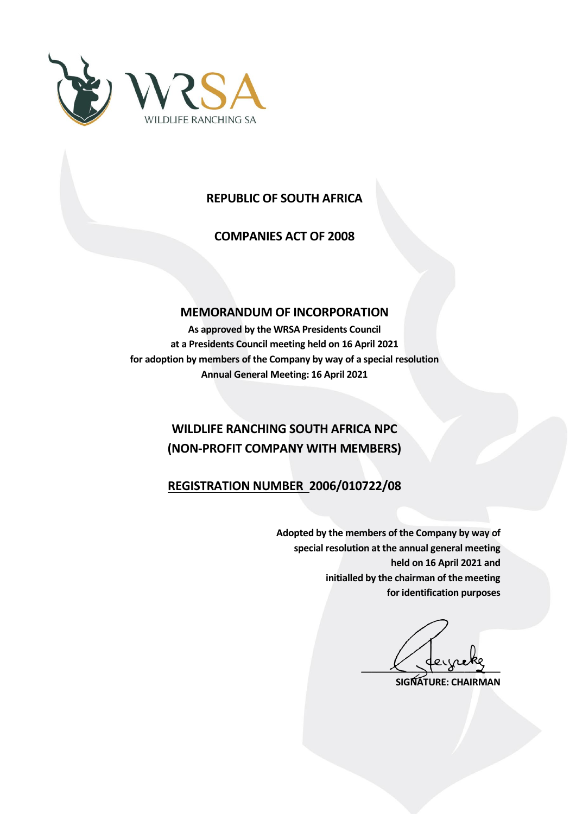

## **REPUBLIC OF SOUTH AFRICA**

**COMPANIES ACT OF 2008**

### **MEMORANDUM OF INCORPORATION**

**As approved by the WRSA Presidents Council at a Presidents Council meeting held on 16 April 2021 for adoption by members of the Company by way of a special resolution Annual General Meeting: 16 April 2021**

# **WILDLIFE RANCHING SOUTH AFRICA NPC (NON-PROFIT COMPANY WITH MEMBERS)**

### **REGISTRATION NUMBER 2006/010722/08**

**Adopted by the members of the Company by way of special resolution at the annual general meeting held on 16 April 2021 and initialled by the chairman of the meeting for identification purposes**

 $\frac{1}{\sqrt{2}}$ 

**SIGNATURE: CHAIRMAN**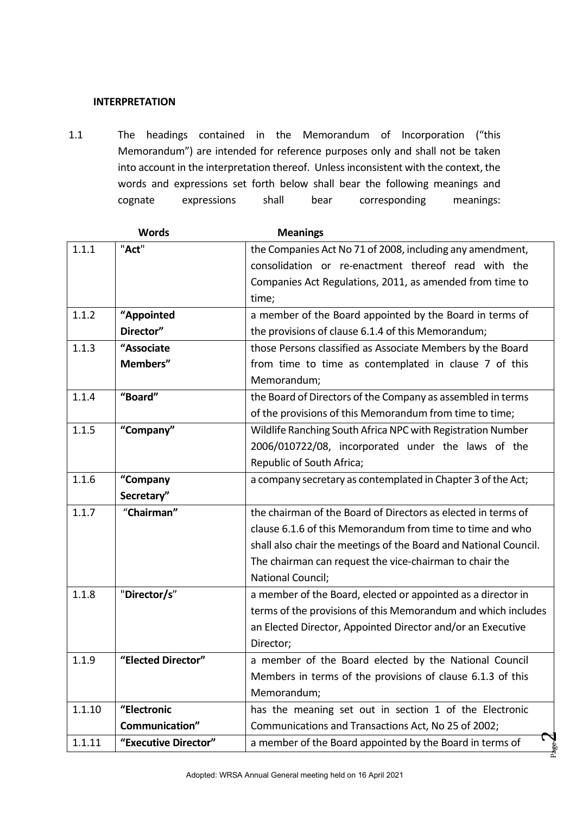### **INTERPRETATION**

1.1 The headings contained in the Memorandum of Incorporation ("this Memorandum") are intended for reference purposes only and shall not be taken into account in the interpretation thereof. Unless inconsistent with the context, the words and expressions set forth below shall bear the following meanings and cognate expressions shall bear corresponding meanings:

|        | <b>Words</b>         | <b>Meanings</b>                                                  |  |
|--------|----------------------|------------------------------------------------------------------|--|
| 1.1.1  | "Act"                | the Companies Act No 71 of 2008, including any amendment,        |  |
|        |                      | consolidation or re-enactment thereof read with the              |  |
|        |                      | Companies Act Regulations, 2011, as amended from time to         |  |
|        |                      | time;                                                            |  |
| 1.1.2  | "Appointed           | a member of the Board appointed by the Board in terms of         |  |
|        | Director"            | the provisions of clause 6.1.4 of this Memorandum;               |  |
| 1.1.3  | "Associate           | those Persons classified as Associate Members by the Board       |  |
|        | Members"             | from time to time as contemplated in clause 7 of this            |  |
|        |                      | Memorandum;                                                      |  |
| 1.1.4  | "Board"              | the Board of Directors of the Company as assembled in terms      |  |
|        |                      | of the provisions of this Memorandum from time to time;          |  |
| 1.1.5  | "Company"            | Wildlife Ranching South Africa NPC with Registration Number      |  |
|        |                      | 2006/010722/08, incorporated under the laws of the               |  |
|        |                      | Republic of South Africa;                                        |  |
| 1.1.6  | "Company             | a company secretary as contemplated in Chapter 3 of the Act;     |  |
|        | Secretary"           |                                                                  |  |
| 1.1.7  | "Chairman"           | the chairman of the Board of Directors as elected in terms of    |  |
|        |                      | clause 6.1.6 of this Memorandum from time to time and who        |  |
|        |                      | shall also chair the meetings of the Board and National Council. |  |
|        |                      | The chairman can request the vice-chairman to chair the          |  |
|        |                      | National Council;                                                |  |
| 1.1.8  | "Director/s"         | a member of the Board, elected or appointed as a director in     |  |
|        |                      | terms of the provisions of this Memorandum and which includes    |  |
|        |                      | an Elected Director, Appointed Director and/or an Executive      |  |
|        |                      | Director;                                                        |  |
| 1.1.9  | "Elected Director"   | a member of the Board elected by the National Council            |  |
|        |                      | Members in terms of the provisions of clause 6.1.3 of this       |  |
|        |                      | Memorandum;                                                      |  |
| 1.1.10 | "Electronic          | has the meaning set out in section 1 of the Electronic           |  |
|        | Communication"       | Communications and Transactions Act, No 25 of 2002;              |  |
| 1.1.11 | "Executive Director" | Ç<br>a member of the Board appointed by the Board in terms of    |  |
|        |                      |                                                                  |  |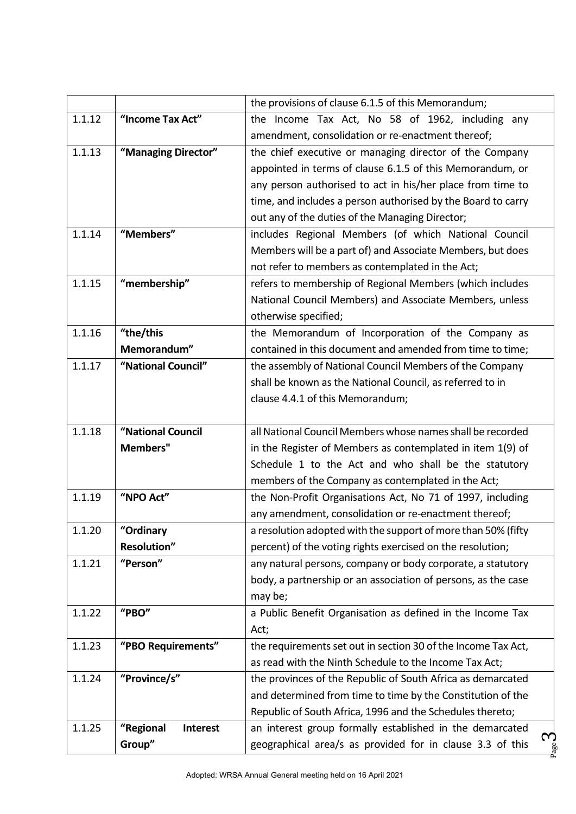|        |                              | the provisions of clause 6.1.5 of this Memorandum;            |  |
|--------|------------------------------|---------------------------------------------------------------|--|
| 1.1.12 | "Income Tax Act"             | the Income Tax Act, No 58 of 1962, including any              |  |
|        |                              | amendment, consolidation or re-enactment thereof;             |  |
| 1.1.13 | "Managing Director"          | the chief executive or managing director of the Company       |  |
|        |                              | appointed in terms of clause 6.1.5 of this Memorandum, or     |  |
|        |                              | any person authorised to act in his/her place from time to    |  |
|        |                              | time, and includes a person authorised by the Board to carry  |  |
|        |                              | out any of the duties of the Managing Director;               |  |
| 1.1.14 | "Members"                    | includes Regional Members (of which National Council          |  |
|        |                              | Members will be a part of) and Associate Members, but does    |  |
|        |                              | not refer to members as contemplated in the Act;              |  |
| 1.1.15 | "membership"                 | refers to membership of Regional Members (which includes      |  |
|        |                              | National Council Members) and Associate Members, unless       |  |
|        |                              | otherwise specified;                                          |  |
| 1.1.16 | "the/this                    | the Memorandum of Incorporation of the Company as             |  |
|        | Memorandum"                  | contained in this document and amended from time to time;     |  |
| 1.1.17 | "National Council"           | the assembly of National Council Members of the Company       |  |
|        |                              | shall be known as the National Council, as referred to in     |  |
|        |                              | clause 4.4.1 of this Memorandum;                              |  |
|        |                              |                                                               |  |
| 1.1.18 | "National Council            | all National Council Members whose names shall be recorded    |  |
|        | <b>Members"</b>              | in the Register of Members as contemplated in item 1(9) of    |  |
|        |                              | Schedule 1 to the Act and who shall be the statutory          |  |
|        |                              | members of the Company as contemplated in the Act;            |  |
| 1.1.19 | "NPO Act"                    | the Non-Profit Organisations Act, No 71 of 1997, including    |  |
|        |                              | any amendment, consolidation or re-enactment thereof;         |  |
| 1.1.20 | "Ordinary                    | a resolution adopted with the support of more than 50% (fifty |  |
|        | <b>Resolution"</b>           | percent) of the voting rights exercised on the resolution;    |  |
| 1.1.21 | "Person"                     | any natural persons, company or body corporate, a statutory   |  |
|        |                              | body, a partnership or an association of persons, as the case |  |
|        |                              | may be;                                                       |  |
| 1.1.22 | "PBO"                        | a Public Benefit Organisation as defined in the Income Tax    |  |
|        |                              | Act;                                                          |  |
| 1.1.23 | "PBO Requirements"           | the requirements set out in section 30 of the Income Tax Act, |  |
|        |                              | as read with the Ninth Schedule to the Income Tax Act;        |  |
| 1.1.24 | "Province/s"                 | the provinces of the Republic of South Africa as demarcated   |  |
|        |                              | and determined from time to time by the Constitution of the   |  |
|        |                              | Republic of South Africa, 1996 and the Schedules thereto;     |  |
| 1.1.25 | "Regional<br><b>Interest</b> | an interest group formally established in the demarcated<br>S |  |
|        | Group"                       | geographical area/s as provided for in clause 3.3 of this     |  |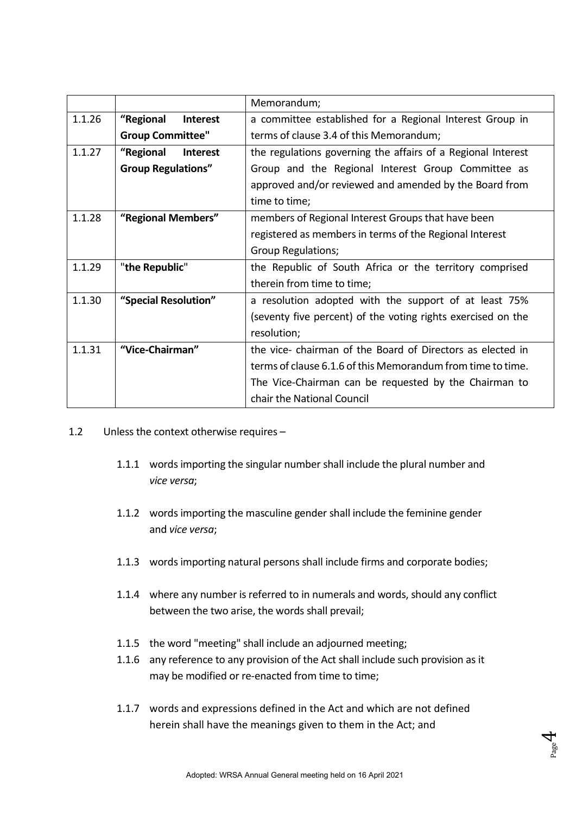|        |                              | Memorandum;                                                  |
|--------|------------------------------|--------------------------------------------------------------|
| 1.1.26 | "Regional<br><b>Interest</b> | a committee established for a Regional Interest Group in     |
|        | <b>Group Committee"</b>      | terms of clause 3.4 of this Memorandum;                      |
| 1.1.27 | "Regional<br><b>Interest</b> | the regulations governing the affairs of a Regional Interest |
|        | <b>Group Regulations"</b>    | Group and the Regional Interest Group Committee as           |
|        |                              | approved and/or reviewed and amended by the Board from       |
|        |                              | time to time;                                                |
| 1.1.28 | "Regional Members"           | members of Regional Interest Groups that have been           |
|        |                              | registered as members in terms of the Regional Interest      |
|        |                              | <b>Group Regulations;</b>                                    |
| 1.1.29 | "the Republic"               | the Republic of South Africa or the territory comprised      |
|        |                              | therein from time to time;                                   |
| 1.1.30 | "Special Resolution"         | a resolution adopted with the support of at least 75%        |
|        |                              | (seventy five percent) of the voting rights exercised on the |
|        |                              | resolution;                                                  |
| 1.1.31 | "Vice-Chairman"              | the vice- chairman of the Board of Directors as elected in   |
|        |                              | terms of clause 6.1.6 of this Memorandum from time to time.  |
|        |                              | The Vice-Chairman can be requested by the Chairman to        |
|        |                              | chair the National Council                                   |

- 1.2 Unless the context otherwise requires
	- 1.1.1 words importing the singular number shall include the plural number and *vice versa*;
	- 1.1.2 words importing the masculine gender shall include the feminine gender and *vice versa*;
	- 1.1.3 words importing natural persons shall include firms and corporate bodies;
	- 1.1.4 where any number is referred to in numerals and words, should any conflict between the two arise, the words shall prevail;
	- 1.1.5 the word "meeting" shall include an adjourned meeting;
	- 1.1.6 any reference to any provision of the Act shall include such provision as it may be modified or re-enacted from time to time;
	- 1.1.7 words and expressions defined in the Act and which are not defined herein shall have the meanings given to them in the Act; and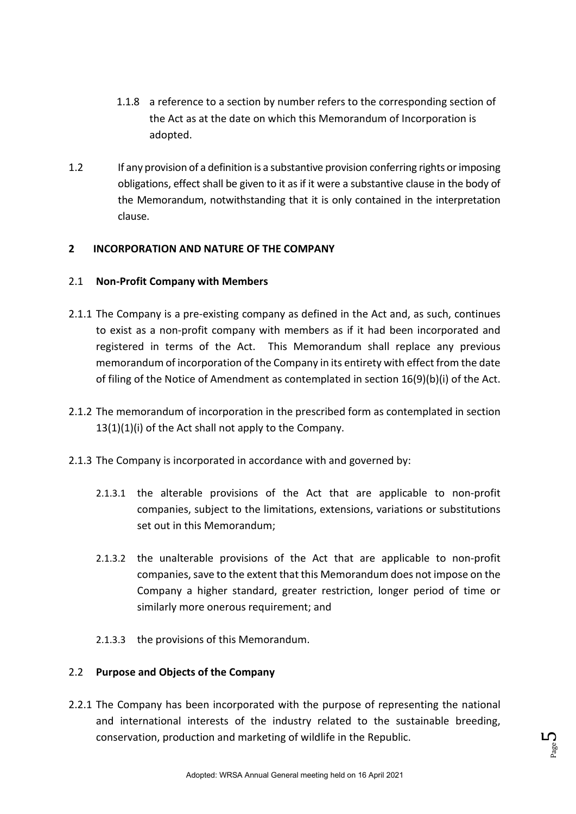- 1.1.8 a reference to a section by number refers to the corresponding section of the Act as at the date on which this Memorandum of Incorporation is adopted.
- 1.2 If any provision of a definition is a substantive provision conferring rights or imposing obligations, effect shall be given to it as if it were a substantive clause in the body of the Memorandum, notwithstanding that it is only contained in the interpretation clause.

### **2 INCORPORATION AND NATURE OF THE COMPANY**

### 2.1 **Non-Profit Company with Members**

- 2.1.1 The Company is a pre-existing company as defined in the Act and, as such, continues to exist as a non-profit company with members as if it had been incorporated and registered in terms of the Act. This Memorandum shall replace any previous memorandum of incorporation of the Company in its entirety with effect from the date of filing of the Notice of Amendment as contemplated in section 16(9)(b)(i) of the Act.
- 2.1.2 The memorandum of incorporation in the prescribed form as contemplated in section 13(1)(1)(i) of the Act shall not apply to the Company.
- 2.1.3 The Company is incorporated in accordance with and governed by:
	- 2.1.3.1 the alterable provisions of the Act that are applicable to non-profit companies, subject to the limitations, extensions, variations or substitutions set out in this Memorandum;
	- 2.1.3.2 the unalterable provisions of the Act that are applicable to non-profit companies, save to the extent that this Memorandum does not impose on the Company a higher standard, greater restriction, longer period of time or similarly more onerous requirement; and
	- 2.1.3.3 the provisions of this Memorandum.

### 2.2 **Purpose and Objects of the Company**

2.2.1 The Company has been incorporated with the purpose of representing the national and international interests of the industry related to the sustainable breeding, conservation, production and marketing of wildlife in the Republic.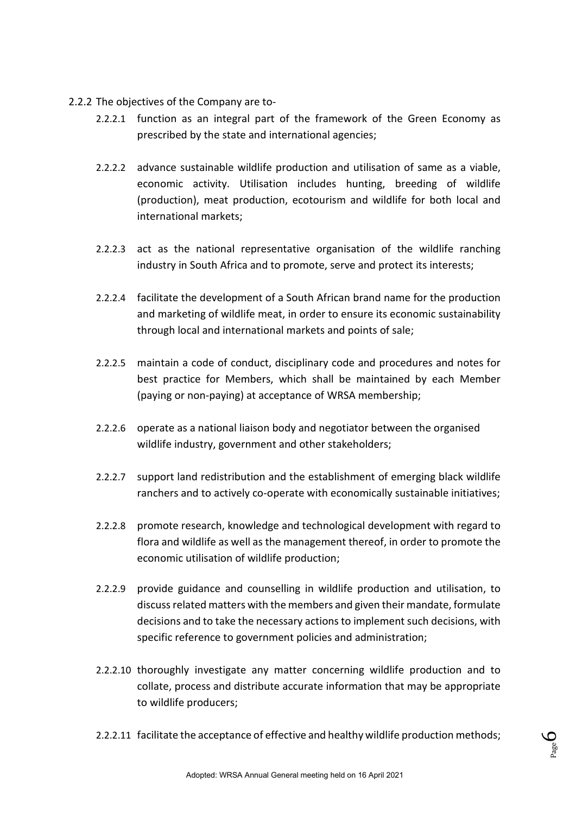- 2.2.2 The objectives of the Company are to-
	- 2.2.2.1 function as an integral part of the framework of the Green Economy as prescribed by the state and international agencies;
	- 2.2.2.2 advance sustainable wildlife production and utilisation of same as a viable, economic activity. Utilisation includes hunting, breeding of wildlife (production), meat production, ecotourism and wildlife for both local and international markets;
	- 2.2.2.3 act as the national representative organisation of the wildlife ranching industry in South Africa and to promote, serve and protect its interests;
	- 2.2.2.4 facilitate the development of a South African brand name for the production and marketing of wildlife meat, in order to ensure its economic sustainability through local and international markets and points of sale;
	- 2.2.2.5 maintain a code of conduct, disciplinary code and procedures and notes for best practice for Members, which shall be maintained by each Member (paying or non-paying) at acceptance of WRSA membership;
	- 2.2.2.6 operate as a national liaison body and negotiator between the organised wildlife industry, government and other stakeholders;
	- 2.2.2.7 support land redistribution and the establishment of emerging black wildlife ranchers and to actively co-operate with economically sustainable initiatives;
	- 2.2.2.8 promote research, knowledge and technological development with regard to flora and wildlife as well as the management thereof, in order to promote the economic utilisation of wildlife production;
	- 2.2.2.9 provide guidance and counselling in wildlife production and utilisation, to discuss related matters with the members and given their mandate, formulate decisions and to take the necessary actions to implement such decisions, with specific reference to government policies and administration;
	- 2.2.2.10 thoroughly investigate any matter concerning wildlife production and to collate, process and distribute accurate information that may be appropriate to wildlife producers;
	- 2.2.2.11 facilitate the acceptance of effective and healthy wildlife production methods;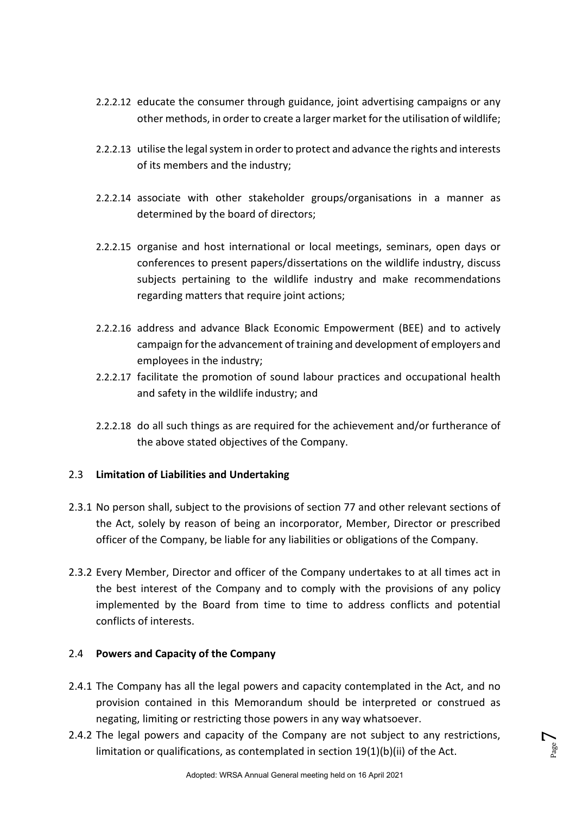- 2.2.2.12 educate the consumer through guidance, joint advertising campaigns or any other methods, in order to create a larger market for the utilisation of wildlife;
- 2.2.2.13 utilise the legal system in order to protect and advance the rights and interests of its members and the industry;
- 2.2.2.14 associate with other stakeholder groups/organisations in a manner as determined by the board of directors;
- 2.2.2.15 organise and host international or local meetings, seminars, open days or conferences to present papers/dissertations on the wildlife industry, discuss subjects pertaining to the wildlife industry and make recommendations regarding matters that require joint actions;
- 2.2.2.16 address and advance Black Economic Empowerment (BEE) and to actively campaign for the advancement of training and development of employers and employees in the industry;
- 2.2.2.17 facilitate the promotion of sound labour practices and occupational health and safety in the wildlife industry; and
- 2.2.2.18 do all such things as are required for the achievement and/or furtherance of the above stated objectives of the Company.

### 2.3 **Limitation of Liabilities and Undertaking**

- 2.3.1 No person shall, subject to the provisions of section 77 and other relevant sections of the Act, solely by reason of being an incorporator, Member, Director or prescribed officer of the Company, be liable for any liabilities or obligations of the Company.
- 2.3.2 Every Member, Director and officer of the Company undertakes to at all times act in the best interest of the Company and to comply with the provisions of any policy implemented by the Board from time to time to address conflicts and potential conflicts of interests.

### 2.4 **Powers and Capacity of the Company**

- 2.4.1 The Company has all the legal powers and capacity contemplated in the Act, and no provision contained in this Memorandum should be interpreted or construed as negating, limiting or restricting those powers in any way whatsoever.
- 2.4.2 The legal powers and capacity of the Company are not subject to any restrictions, limitation or qualifications, as contemplated in section 19(1)(b)(ii) of the Act.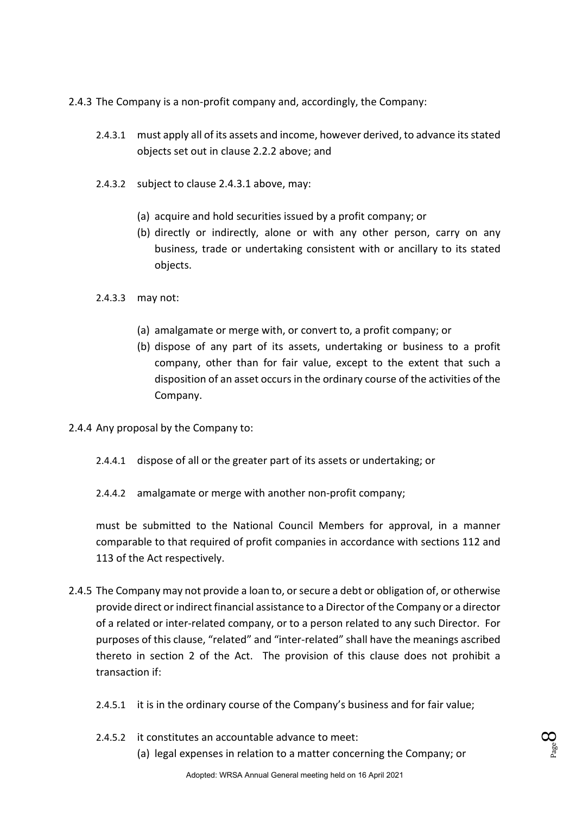2.4.3 The Company is a non-profit company and, accordingly, the Company:

- 2.4.3.1 must apply all of its assets and income, however derived, to advance its stated objects set out in clause 2.2.2 above; and
- 2.4.3.2 subject to clause 2.4.3.1 above, may:
	- (a) acquire and hold securities issued by a profit company; or
	- (b) directly or indirectly, alone or with any other person, carry on any business, trade or undertaking consistent with or ancillary to its stated objects.
- 2.4.3.3 may not:
	- (a) amalgamate or merge with, or convert to, a profit company; or
	- (b) dispose of any part of its assets, undertaking or business to a profit company, other than for fair value, except to the extent that such a disposition of an asset occurs in the ordinary course of the activities of the Company.
- 2.4.4 Any proposal by the Company to:
	- 2.4.4.1 dispose of all or the greater part of its assets or undertaking; or
	- 2.4.4.2 amalgamate or merge with another non-profit company;

must be submitted to the National Council Members for approval, in a manner comparable to that required of profit companies in accordance with sections 112 and 113 of the Act respectively.

- 2.4.5 The Company may not provide a loan to, or secure a debt or obligation of, or otherwise provide direct or indirect financial assistance to a Director of the Company or a director of a related or inter-related company, or to a person related to any such Director. For purposes of this clause, "related" and "inter-related" shall have the meanings ascribed thereto in section 2 of the Act. The provision of this clause does not prohibit a transaction if:
	- 2.4.5.1 it is in the ordinary course of the Company's business and for fair value;
	- 2.4.5.2 it constitutes an accountable advance to meet:
		- (a) legal expenses in relation to a matter concerning the Company; or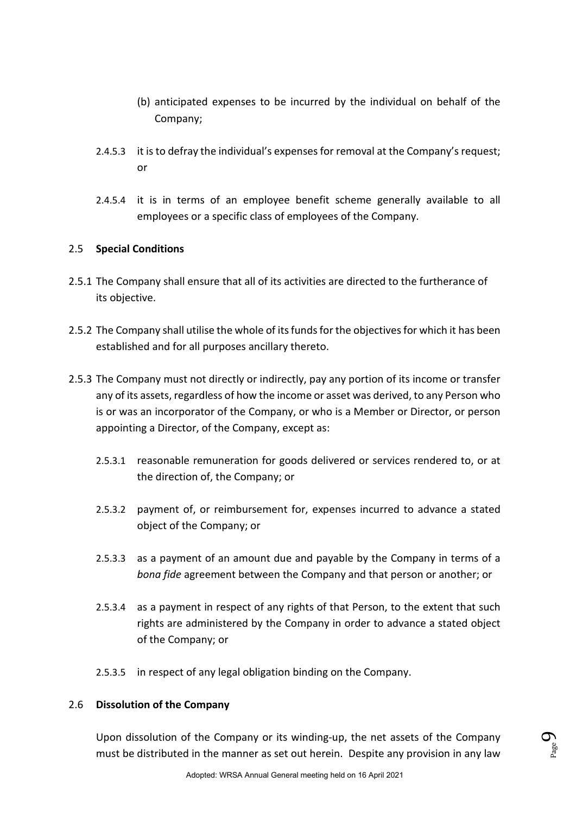- (b) anticipated expenses to be incurred by the individual on behalf of the Company;
- 2.4.5.3 it is to defray the individual's expenses for removal at the Company's request; or
- 2.4.5.4 it is in terms of an employee benefit scheme generally available to all employees or a specific class of employees of the Company.

### 2.5 **Special Conditions**

- 2.5.1 The Company shall ensure that all of its activities are directed to the furtherance of its objective.
- 2.5.2 The Company shall utilise the whole of its funds for the objectives for which it has been established and for all purposes ancillary thereto.
- 2.5.3 The Company must not directly or indirectly, pay any portion of its income or transfer any of its assets, regardless of how the income or asset was derived, to any Person who is or was an incorporator of the Company, or who is a Member or Director, or person appointing a Director, of the Company, except as:
	- 2.5.3.1 reasonable remuneration for goods delivered or services rendered to, or at the direction of, the Company; or
	- 2.5.3.2 payment of, or reimbursement for, expenses incurred to advance a stated object of the Company; or
	- 2.5.3.3 as a payment of an amount due and payable by the Company in terms of a *bona fide* agreement between the Company and that person or another; or
	- 2.5.3.4 as a payment in respect of any rights of that Person, to the extent that such rights are administered by the Company in order to advance a stated object of the Company; or
	- 2.5.3.5 in respect of any legal obligation binding on the Company.

### 2.6 **Dissolution of the Company**

Upon dissolution of the Company or its winding-up, the net assets of the Company must be distributed in the manner as set out herein. Despite any provision in any law

Page  $\sigma$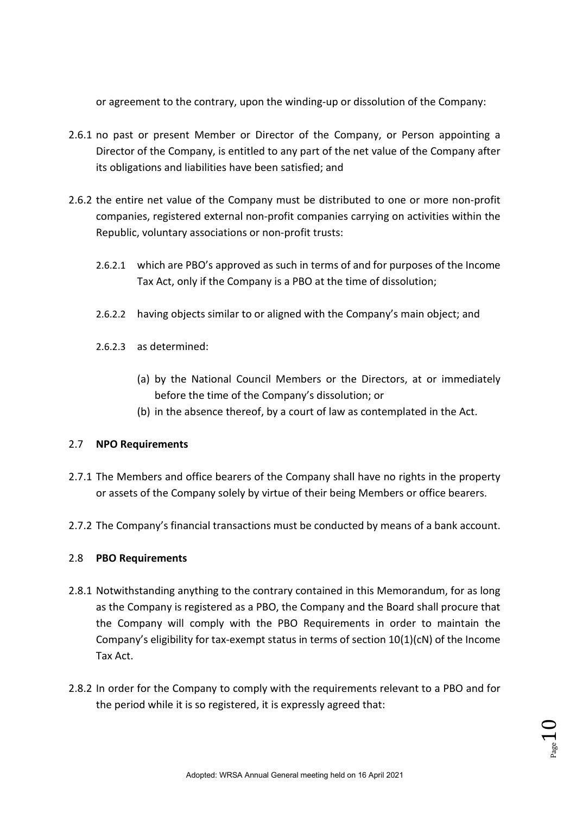or agreement to the contrary, upon the winding-up or dissolution of the Company:

- 2.6.1 no past or present Member or Director of the Company, or Person appointing a Director of the Company, is entitled to any part of the net value of the Company after its obligations and liabilities have been satisfied; and
- 2.6.2 the entire net value of the Company must be distributed to one or more non-profit companies, registered external non-profit companies carrying on activities within the Republic, voluntary associations or non-profit trusts:
	- 2.6.2.1 which are PBO's approved as such in terms of and for purposes of the Income Tax Act, only if the Company is a PBO at the time of dissolution;
	- 2.6.2.2 having objects similar to or aligned with the Company's main object; and
	- 2.6.2.3 as determined:
		- (a) by the National Council Members or the Directors, at or immediately before the time of the Company's dissolution; or
		- (b) in the absence thereof, by a court of law as contemplated in the Act.

### 2.7 **NPO Requirements**

- 2.7.1 The Members and office bearers of the Company shall have no rights in the property or assets of the Company solely by virtue of their being Members or office bearers.
- 2.7.2 The Company's financial transactions must be conducted by means of a bank account.

### 2.8 **PBO Requirements**

- 2.8.1 Notwithstanding anything to the contrary contained in this Memorandum, for as long as the Company is registered as a PBO, the Company and the Board shall procure that the Company will comply with the PBO Requirements in order to maintain the Company's eligibility for tax-exempt status in terms of section  $10(1)(cN)$  of the Income Tax Act.
- 2.8.2 In order for the Company to comply with the requirements relevant to a PBO and for the period while it is so registered, it is expressly agreed that: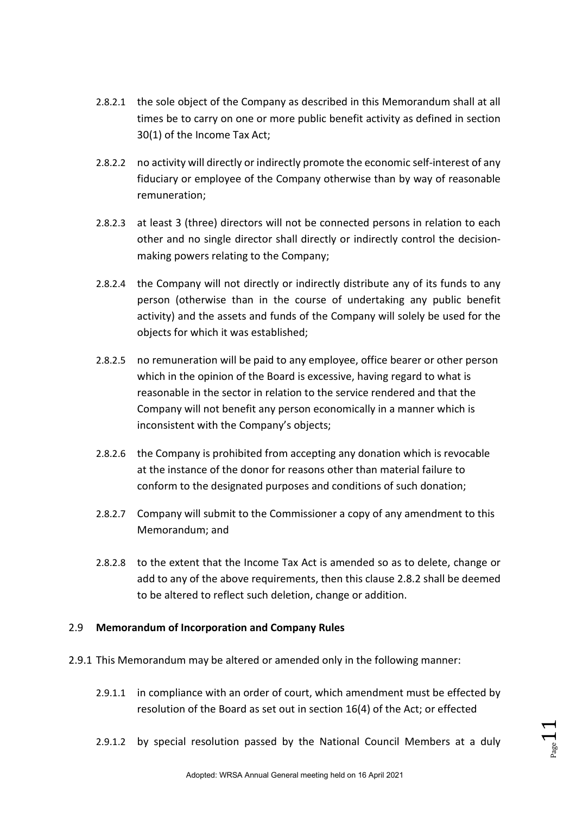- 2.8.2.1 the sole object of the Company as described in this Memorandum shall at all times be to carry on one or more public benefit activity as defined in section 30(1) of the Income Tax Act;
- 2.8.2.2 no activity will directly or indirectly promote the economic self-interest of any fiduciary or employee of the Company otherwise than by way of reasonable remuneration;
- 2.8.2.3 at least 3 (three) directors will not be connected persons in relation to each other and no single director shall directly or indirectly control the decisionmaking powers relating to the Company;
- 2.8.2.4 the Company will not directly or indirectly distribute any of its funds to any person (otherwise than in the course of undertaking any public benefit activity) and the assets and funds of the Company will solely be used for the objects for which it was established;
- 2.8.2.5 no remuneration will be paid to any employee, office bearer or other person which in the opinion of the Board is excessive, having regard to what is reasonable in the sector in relation to the service rendered and that the Company will not benefit any person economically in a manner which is inconsistent with the Company's objects;
- 2.8.2.6 the Company is prohibited from accepting any donation which is revocable at the instance of the donor for reasons other than material failure to conform to the designated purposes and conditions of such donation;
- 2.8.2.7 Company will submit to the Commissioner a copy of any amendment to this Memorandum; and
- 2.8.2.8 to the extent that the Income Tax Act is amended so as to delete, change or add to any of the above requirements, then this clause 2.8.2 shall be deemed to be altered to reflect such deletion, change or addition.

### 2.9 **Memorandum of Incorporation and Company Rules**

- 2.9.1 This Memorandum may be altered or amended only in the following manner:
	- 2.9.1.1 in compliance with an order of court, which amendment must be effected by resolution of the Board as set out in section 16(4) of the Act; or effected
	- 2.9.1.2 by special resolution passed by the National Council Members at a duly

 $_{\tiny{\text{Page}}}1$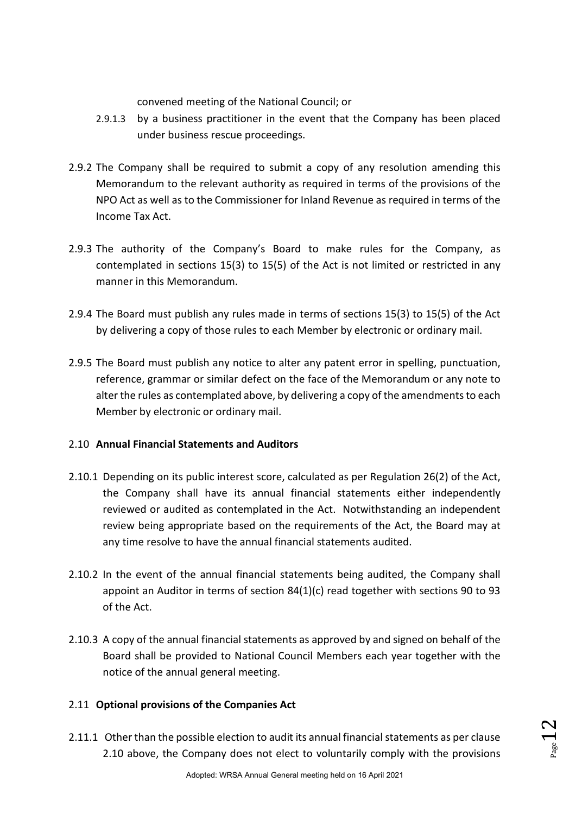convened meeting of the National Council; or

- 2.9.1.3 by a business practitioner in the event that the Company has been placed under business rescue proceedings.
- 2.9.2 The Company shall be required to submit a copy of any resolution amending this Memorandum to the relevant authority as required in terms of the provisions of the NPO Act as well as to the Commissioner for Inland Revenue as required in terms of the Income Tax Act.
- 2.9.3 The authority of the Company's Board to make rules for the Company, as contemplated in sections 15(3) to 15(5) of the Act is not limited or restricted in any manner in this Memorandum.
- 2.9.4 The Board must publish any rules made in terms of sections 15(3) to 15(5) of the Act by delivering a copy of those rules to each Member by electronic or ordinary mail.
- 2.9.5 The Board must publish any notice to alter any patent error in spelling, punctuation, reference, grammar or similar defect on the face of the Memorandum or any note to alter the rules as contemplated above, by delivering a copy of the amendments to each Member by electronic or ordinary mail.

### 2.10 **Annual Financial Statements and Auditors**

- 2.10.1 Depending on its public interest score, calculated as per Regulation 26(2) of the Act, the Company shall have its annual financial statements either independently reviewed or audited as contemplated in the Act. Notwithstanding an independent review being appropriate based on the requirements of the Act, the Board may at any time resolve to have the annual financial statements audited.
- 2.10.2 In the event of the annual financial statements being audited, the Company shall appoint an Auditor in terms of section 84(1)(c) read together with sections 90 to 93 of the Act.
- 2.10.3 A copy of the annual financial statements as approved by and signed on behalf of the Board shall be provided to National Council Members each year together with the notice of the annual general meeting.

### 2.11 **Optional provisions of the Companies Act**

2.11.1 Other than the possible election to audit its annual financial statements as per clause 2.10 above, the Company does not elect to voluntarily comply with the provisions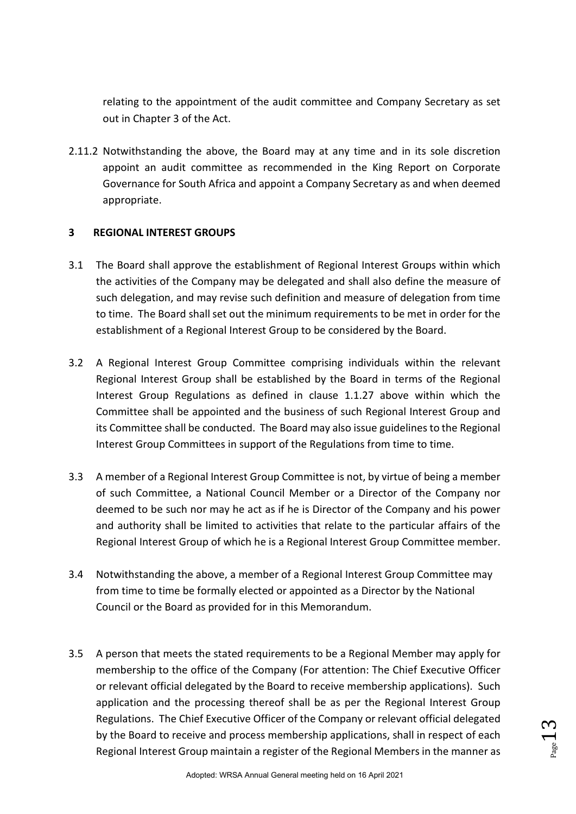relating to the appointment of the audit committee and Company Secretary as set out in Chapter 3 of the Act.

2.11.2 Notwithstanding the above, the Board may at any time and in its sole discretion appoint an audit committee as recommended in the King Report on Corporate Governance for South Africa and appoint a Company Secretary as and when deemed appropriate.

### **3 REGIONAL INTEREST GROUPS**

- 3.1 The Board shall approve the establishment of Regional Interest Groups within which the activities of the Company may be delegated and shall also define the measure of such delegation, and may revise such definition and measure of delegation from time to time. The Board shall set out the minimum requirements to be met in order for the establishment of a Regional Interest Group to be considered by the Board.
- 3.2 A Regional Interest Group Committee comprising individuals within the relevant Regional Interest Group shall be established by the Board in terms of the Regional Interest Group Regulations as defined in clause 1.1.27 above within which the Committee shall be appointed and the business of such Regional Interest Group and its Committee shall be conducted. The Board may also issue guidelines to the Regional Interest Group Committees in support of the Regulations from time to time.
- 3.3 A member of a Regional Interest Group Committee is not, by virtue of being a member of such Committee, a National Council Member or a Director of the Company nor deemed to be such nor may he act as if he is Director of the Company and his power and authority shall be limited to activities that relate to the particular affairs of the Regional Interest Group of which he is a Regional Interest Group Committee member.
- 3.4 Notwithstanding the above, a member of a Regional Interest Group Committee may from time to time be formally elected or appointed as a Director by the National Council or the Board as provided for in this Memorandum.
- 3.5 A person that meets the stated requirements to be a Regional Member may apply for membership to the office of the Company (For attention: The Chief Executive Officer or relevant official delegated by the Board to receive membership applications). Such application and the processing thereof shall be as per the Regional Interest Group Regulations. The Chief Executive Officer of the Company or relevant official delegated by the Board to receive and process membership applications, shall in respect of each Regional Interest Group maintain a register of the Regional Members in the manner as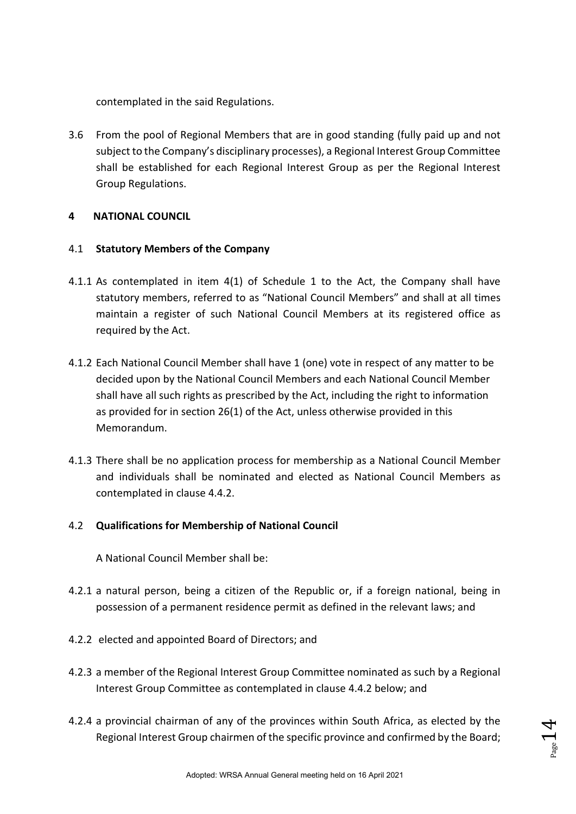contemplated in the said Regulations.

3.6 From the pool of Regional Members that are in good standing (fully paid up and not subject to the Company's disciplinary processes), a Regional Interest Group Committee shall be established for each Regional Interest Group as per the Regional Interest Group Regulations.

### **4 NATIONAL COUNCIL**

### 4.1 **Statutory Members of the Company**

- 4.1.1 As contemplated in item 4(1) of Schedule 1 to the Act, the Company shall have statutory members, referred to as "National Council Members" and shall at all times maintain a register of such National Council Members at its registered office as required by the Act.
- 4.1.2 Each National Council Member shall have 1 (one) vote in respect of any matter to be decided upon by the National Council Members and each National Council Member shall have all such rights as prescribed by the Act, including the right to information as provided for in section 26(1) of the Act, unless otherwise provided in this Memorandum.
- 4.1.3 There shall be no application process for membership as a National Council Member and individuals shall be nominated and elected as National Council Members as contemplated in clause 4.4.2.

### 4.2 **Qualifications for Membership of National Council**

A National Council Member shall be:

- 4.2.1 a natural person, being a citizen of the Republic or, if a foreign national, being in possession of a permanent residence permit as defined in the relevant laws; and
- 4.2.2 elected and appointed Board of Directors; and
- 4.2.3 a member of the Regional Interest Group Committee nominated as such by a Regional Interest Group Committee as contemplated in clause 4.4.2 below; and
- 4.2.4 a provincial chairman of any of the provinces within South Africa, as elected by the Regional Interest Group chairmen of the specific province and confirmed by the Board;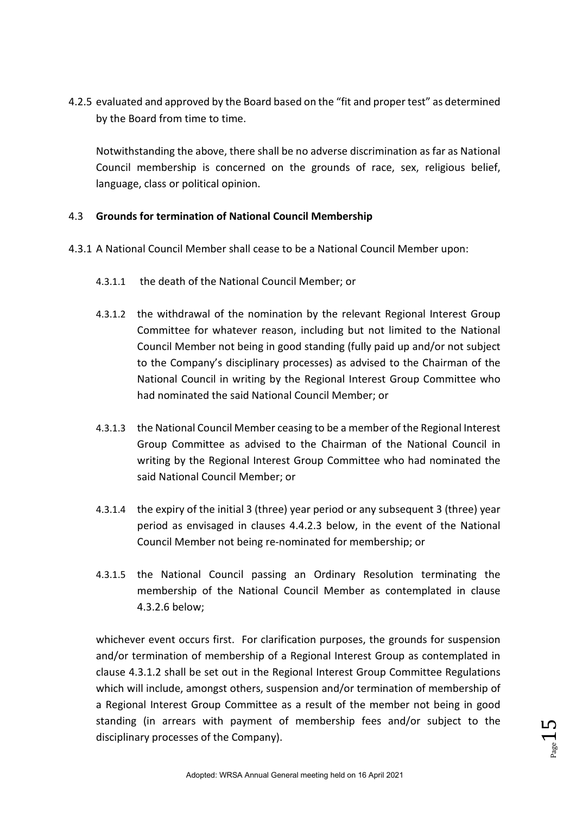4.2.5 evaluated and approved by the Board based on the "fit and proper test" as determined by the Board from time to time.

Notwithstanding the above, there shall be no adverse discrimination as far as National Council membership is concerned on the grounds of race, sex, religious belief, language, class or political opinion.

### 4.3 **Grounds for termination of National Council Membership**

- 4.3.1 A National Council Member shall cease to be a National Council Member upon:
	- 4.3.1.1 the death of the National Council Member; or
	- 4.3.1.2 the withdrawal of the nomination by the relevant Regional Interest Group Committee for whatever reason, including but not limited to the National Council Member not being in good standing (fully paid up and/or not subject to the Company's disciplinary processes) as advised to the Chairman of the National Council in writing by the Regional Interest Group Committee who had nominated the said National Council Member; or
	- 4.3.1.3 the National Council Member ceasing to be a member of the Regional Interest Group Committee as advised to the Chairman of the National Council in writing by the Regional Interest Group Committee who had nominated the said National Council Member; or
	- 4.3.1.4 the expiry of the initial 3 (three) year period or any subsequent 3 (three) year period as envisaged in clauses 4.4.2.3 below, in the event of the National Council Member not being re-nominated for membership; or
	- 4.3.1.5 the National Council passing an Ordinary Resolution terminating the membership of the National Council Member as contemplated in clause 4.3.2.6 below;

whichever event occurs first. For clarification purposes, the grounds for suspension and/or termination of membership of a Regional Interest Group as contemplated in clause 4.3.1.2 shall be set out in the Regional Interest Group Committee Regulations which will include, amongst others, suspension and/or termination of membership of a Regional Interest Group Committee as a result of the member not being in good standing (in arrears with payment of membership fees and/or subject to the disciplinary processes of the Company).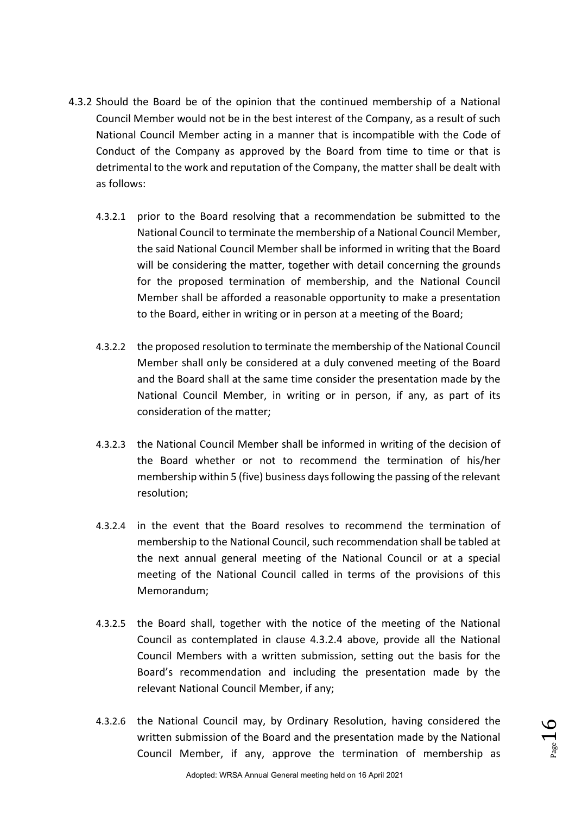- 4.3.2 Should the Board be of the opinion that the continued membership of a National Council Member would not be in the best interest of the Company, as a result of such National Council Member acting in a manner that is incompatible with the Code of Conduct of the Company as approved by the Board from time to time or that is detrimental to the work and reputation of the Company, the matter shall be dealt with as follows:
	- 4.3.2.1 prior to the Board resolving that a recommendation be submitted to the National Council to terminate the membership of a National Council Member, the said National Council Member shall be informed in writing that the Board will be considering the matter, together with detail concerning the grounds for the proposed termination of membership, and the National Council Member shall be afforded a reasonable opportunity to make a presentation to the Board, either in writing or in person at a meeting of the Board;
	- 4.3.2.2 the proposed resolution to terminate the membership of the National Council Member shall only be considered at a duly convened meeting of the Board and the Board shall at the same time consider the presentation made by the National Council Member, in writing or in person, if any, as part of its consideration of the matter;
	- 4.3.2.3 the National Council Member shall be informed in writing of the decision of the Board whether or not to recommend the termination of his/her membership within 5 (five) business days following the passing of the relevant resolution;
	- 4.3.2.4 in the event that the Board resolves to recommend the termination of membership to the National Council, such recommendation shall be tabled at the next annual general meeting of the National Council or at a special meeting of the National Council called in terms of the provisions of this Memorandum;
	- 4.3.2.5 the Board shall, together with the notice of the meeting of the National Council as contemplated in clause 4.3.2.4 above, provide all the National Council Members with a written submission, setting out the basis for the Board's recommendation and including the presentation made by the relevant National Council Member, if any;
	- 4.3.2.6 the National Council may, by Ordinary Resolution, having considered the written submission of the Board and the presentation made by the National Council Member, if any, approve the termination of membership as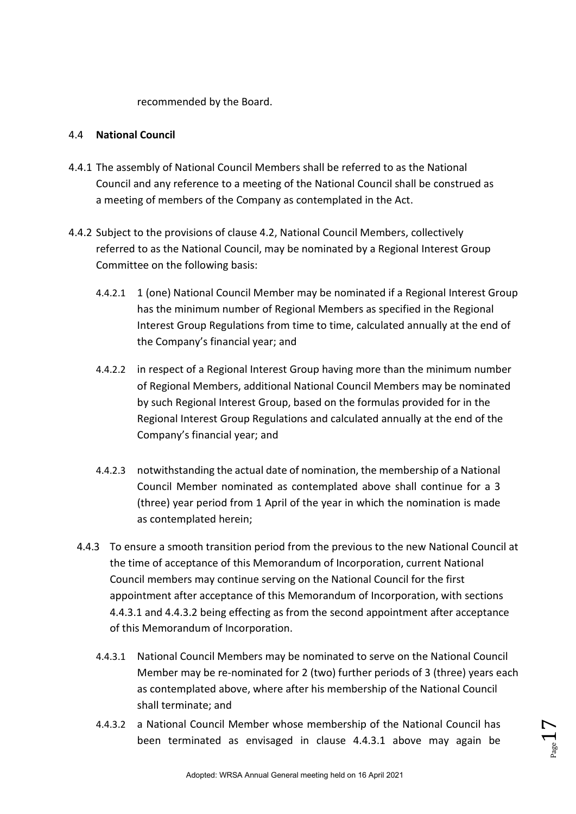recommended by the Board.

### 4.4 **National Council**

- 4.4.1 The assembly of National Council Members shall be referred to as the National Council and any reference to a meeting of the National Council shall be construed as a meeting of members of the Company as contemplated in the Act.
- 4.4.2 Subject to the provisions of clause 4.2, National Council Members, collectively referred to as the National Council, may be nominated by a Regional Interest Group Committee on the following basis:
	- 4.4.2.1 1 (one) National Council Member may be nominated if a Regional Interest Group has the minimum number of Regional Members as specified in the Regional Interest Group Regulations from time to time, calculated annually at the end of the Company's financial year; and
	- 4.4.2.2 in respect of a Regional Interest Group having more than the minimum number of Regional Members, additional National Council Members may be nominated by such Regional Interest Group, based on the formulas provided for in the Regional Interest Group Regulations and calculated annually at the end of the Company's financial year; and
	- 4.4.2.3 notwithstanding the actual date of nomination, the membership of a National Council Member nominated as contemplated above shall continue for a 3 (three) year period from 1 April of the year in which the nomination is made as contemplated herein;
	- 4.4.3 To ensure a smooth transition period from the previous to the new National Council at the time of acceptance of this Memorandum of Incorporation, current National Council members may continue serving on the National Council for the first appointment after acceptance of this Memorandum of Incorporation, with sections 4.4.3.1 and 4.4.3.2 being effecting as from the second appointment after acceptance of this Memorandum of Incorporation.
		- 4.4.3.1 National Council Members may be nominated to serve on the National Council Member may be re-nominated for 2 (two) further periods of 3 (three) years each as contemplated above, where after his membership of the National Council shall terminate; and
		- 4.4.3.2 a National Council Member whose membership of the National Council has been terminated as envisaged in clause 4.4.3.1 above may again be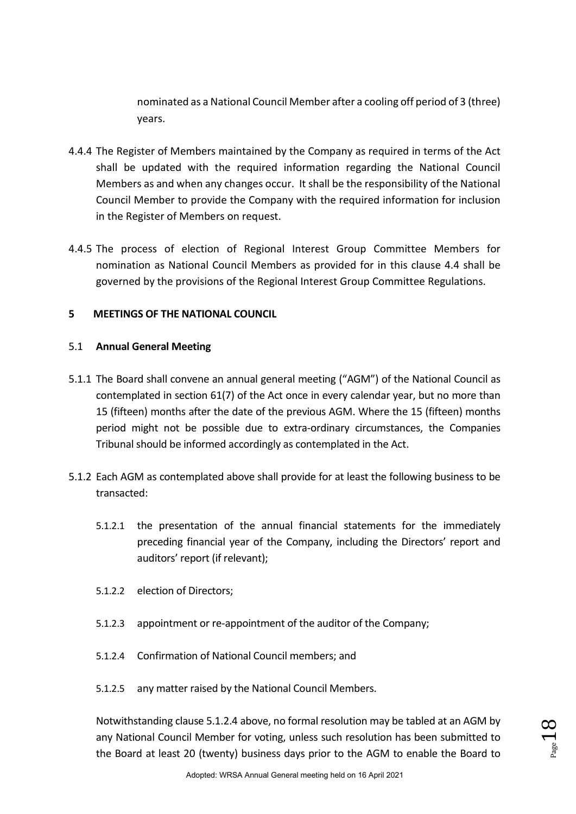nominated as a National Council Member after a cooling off period of 3 (three) years.

- 4.4.4 The Register of Members maintained by the Company as required in terms of the Act shall be updated with the required information regarding the National Council Members as and when any changes occur. It shall be the responsibility of the National Council Member to provide the Company with the required information for inclusion in the Register of Members on request.
- 4.4.5 The process of election of Regional Interest Group Committee Members for nomination as National Council Members as provided for in this clause 4.4 shall be governed by the provisions of the Regional Interest Group Committee Regulations.

### **5 MEETINGS OF THE NATIONAL COUNCIL**

### 5.1 **Annual General Meeting**

- 5.1.1 The Board shall convene an annual general meeting ("AGM") of the National Council as contemplated in section 61(7) of the Act once in every calendar year, but no more than 15 (fifteen) months after the date of the previous AGM. Where the 15 (fifteen) months period might not be possible due to extra-ordinary circumstances, the Companies Tribunal should be informed accordingly as contemplated in the Act.
- 5.1.2 Each AGM as contemplated above shall provide for at least the following business to be transacted:
	- 5.1.2.1 the presentation of the annual financial statements for the immediately preceding financial year of the Company, including the Directors' report and auditors' report (if relevant);
	- 5.1.2.2 election of Directors;
	- 5.1.2.3 appointment or re-appointment of the auditor of the Company;
	- 5.1.2.4 Confirmation of National Council members; and
	- 5.1.2.5 any matter raised by the National Council Members.

Notwithstanding clause 5.1.2.4 above, no formal resolution may be tabled at an AGM by any National Council Member for voting, unless such resolution has been submitted to the Board at least 20 (twenty) business days prior to the AGM to enable the Board to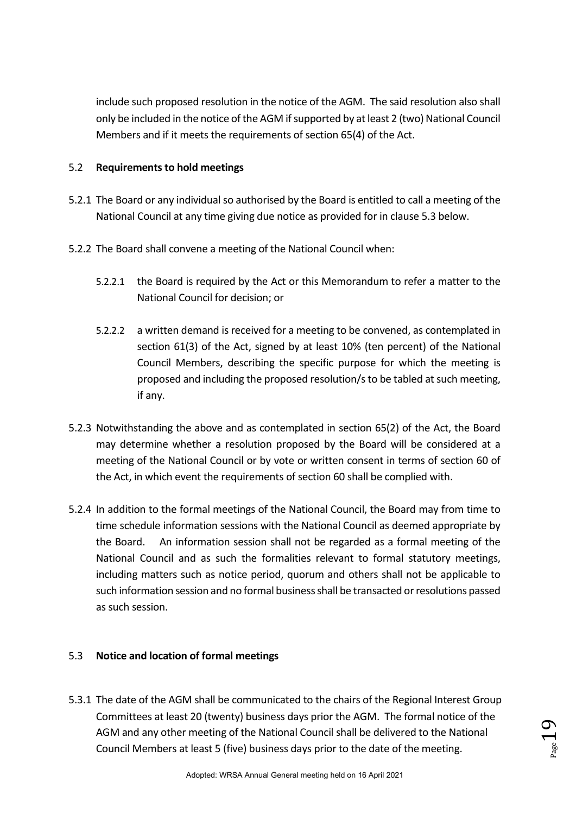include such proposed resolution in the notice of the AGM. The said resolution also shall only be included in the notice of the AGM if supported by at least 2 (two) National Council Members and if it meets the requirements of section 65(4) of the Act.

### 5.2 **Requirements to hold meetings**

- 5.2.1 The Board or any individual so authorised by the Board is entitled to call a meeting of the National Council at any time giving due notice as provided for in clause 5.3 below.
- 5.2.2 The Board shall convene a meeting of the National Council when:
	- 5.2.2.1 the Board is required by the Act or this Memorandum to refer a matter to the National Council for decision; or
	- 5.2.2.2 a written demand is received for a meeting to be convened, as contemplated in section 61(3) of the Act, signed by at least 10% (ten percent) of the National Council Members, describing the specific purpose for which the meeting is proposed and including the proposed resolution/s to be tabled at such meeting, if any.
- 5.2.3 Notwithstanding the above and as contemplated in section 65(2) of the Act, the Board may determine whether a resolution proposed by the Board will be considered at a meeting of the National Council or by vote or written consent in terms of section 60 of the Act, in which event the requirements of section 60 shall be complied with.
- 5.2.4 In addition to the formal meetings of the National Council, the Board may from time to time schedule information sessions with the National Council as deemed appropriate by the Board. An information session shall not be regarded as a formal meeting of the National Council and as such the formalities relevant to formal statutory meetings, including matters such as notice period, quorum and others shall not be applicable to such information session and no formal business shall be transacted or resolutions passed as such session.

### 5.3 **Notice and location of formal meetings**

5.3.1 The date of the AGM shall be communicated to the chairs of the Regional Interest Group Committees at least 20 (twenty) business days prior the AGM. The formal notice of the AGM and any other meeting of the National Council shall be delivered to the National Council Members at least 5 (five) business days prior to the date of the meeting.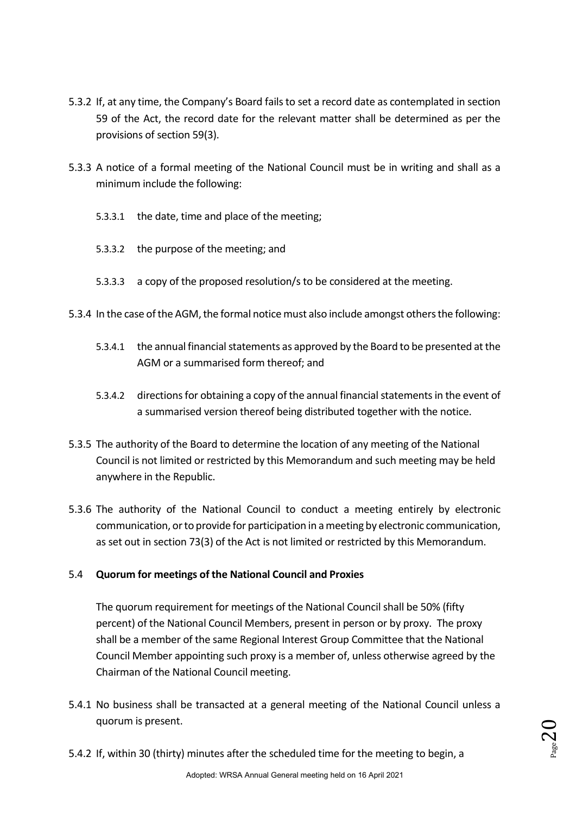- 5.3.2 If, at any time, the Company's Board fails to set a record date as contemplated in section 59 of the Act, the record date for the relevant matter shall be determined as per the provisions of section 59(3).
- 5.3.3 A notice of a formal meeting of the National Council must be in writing and shall as a minimum include the following:
	- 5.3.3.1 the date, time and place of the meeting;
	- 5.3.3.2 the purpose of the meeting; and
	- 5.3.3.3 a copy of the proposed resolution/s to be considered at the meeting.
- 5.3.4 In the case of the AGM, the formal notice must also include amongst others the following:
	- 5.3.4.1 the annual financial statements as approved by the Board to be presented at the AGM or a summarised form thereof; and
	- 5.3.4.2 directions for obtaining a copy of the annual financial statements in the event of a summarised version thereof being distributed together with the notice.
- 5.3.5 The authority of the Board to determine the location of any meeting of the National Council is not limited or restricted by this Memorandum and such meeting may be held anywhere in the Republic.
- 5.3.6 The authority of the National Council to conduct a meeting entirely by electronic communication, or to provide for participation in a meeting by electronic communication, as set out in section 73(3) of the Act is not limited or restricted by this Memorandum.

### 5.4 **Quorum for meetings of the National Council and Proxies**

The quorum requirement for meetings of the National Council shall be 50% (fifty percent) of the National Council Members, present in person or by proxy. The proxy shall be a member of the same Regional Interest Group Committee that the National Council Member appointing such proxy is a member of, unless otherwise agreed by the Chairman of the National Council meeting.

5.4.1 No business shall be transacted at a general meeting of the National Council unless a quorum is present.

5.4.2 If, within 30 (thirty) minutes after the scheduled time for the meeting to begin, a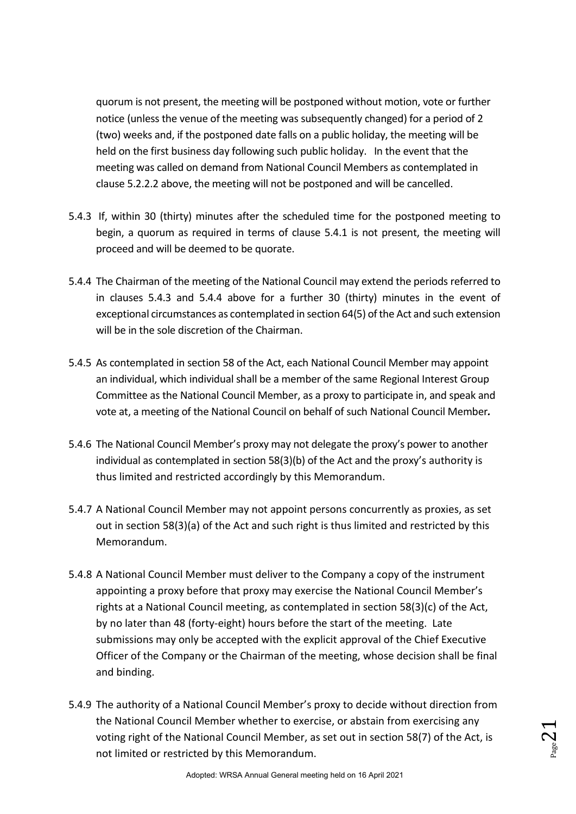quorum is not present, the meeting will be postponed without motion, vote or further notice (unless the venue of the meeting was subsequently changed) for a period of 2 (two) weeks and, if the postponed date falls on a public holiday, the meeting will be held on the first business day following such public holiday. In the event that the meeting was called on demand from National Council Members as contemplated in clause 5.2.2.2 above, the meeting will not be postponed and will be cancelled.

- 5.4.3 If, within 30 (thirty) minutes after the scheduled time for the postponed meeting to begin, a quorum as required in terms of clause 5.4.1 is not present, the meeting will proceed and will be deemed to be quorate.
- 5.4.4 The Chairman of the meeting of the National Council may extend the periods referred to in clauses 5.4.3 and 5.4.4 above for a further 30 (thirty) minutes in the event of exceptional circumstances as contemplated in section 64(5) of the Act and such extension will be in the sole discretion of the Chairman.
- 5.4.5 As contemplated in section 58 of the Act, each National Council Member may appoint an individual, which individual shall be a member of the same Regional Interest Group Committee as the National Council Member, as a proxy to participate in, and speak and vote at, a meeting of the National Council on behalf of such National Council Member*.*
- 5.4.6 The National Council Member's proxy may not delegate the proxy's power to another individual as contemplated in section 58(3)(b) of the Act and the proxy's authority is thus limited and restricted accordingly by this Memorandum.
- 5.4.7 A National Council Member may not appoint persons concurrently as proxies, as set out in section 58(3)(a) of the Act and such right is thus limited and restricted by this Memorandum.
- 5.4.8 A National Council Member must deliver to the Company a copy of the instrument appointing a proxy before that proxy may exercise the National Council Member's rights at a National Council meeting, as contemplated in section 58(3)(c) of the Act, by no later than 48 (forty-eight) hours before the start of the meeting. Late submissions may only be accepted with the explicit approval of the Chief Executive Officer of the Company or the Chairman of the meeting, whose decision shall be final and binding.
- 5.4.9 The authority of a National Council Member's proxy to decide without direction from the National Council Member whether to exercise, or abstain from exercising any voting right of the National Council Member, as set out in section 58(7) of the Act, is not limited or restricted by this Memorandum.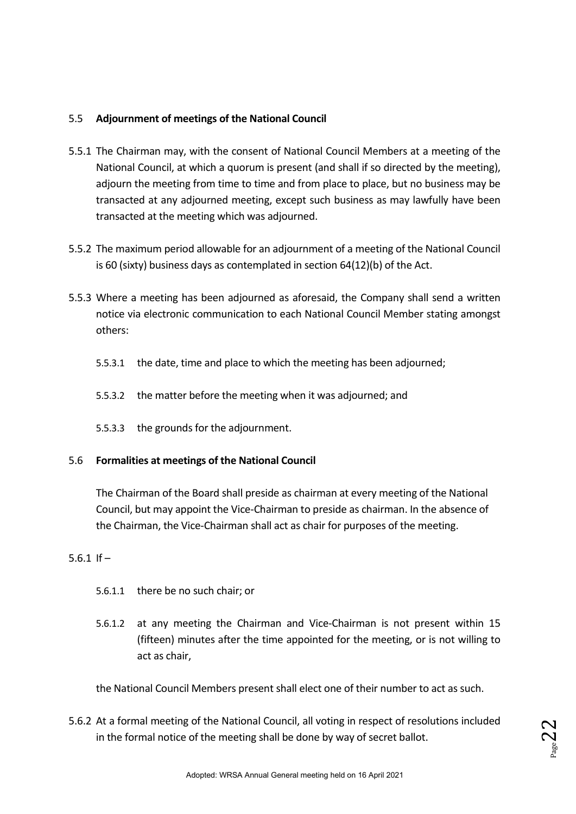### 5.5 **Adjournment of meetings of the National Council**

- 5.5.1 The Chairman may, with the consent of National Council Members at a meeting of the National Council, at which a quorum is present (and shall if so directed by the meeting), adjourn the meeting from time to time and from place to place, but no business may be transacted at any adjourned meeting, except such business as may lawfully have been transacted at the meeting which was adjourned.
- 5.5.2 The maximum period allowable for an adjournment of a meeting of the National Council is 60 (sixty) business days as contemplated in section 64(12)(b) of the Act.
- 5.5.3 Where a meeting has been adjourned as aforesaid, the Company shall send a written notice via electronic communication to each National Council Member stating amongst others:
	- 5.5.3.1 the date, time and place to which the meeting has been adjourned;
	- 5.5.3.2 the matter before the meeting when it was adjourned; and
	- 5.5.3.3 the grounds for the adjournment.

### 5.6 **Formalities at meetings of the National Council**

The Chairman of the Board shall preside as chairman at every meeting of the National Council, but may appoint the Vice-Chairman to preside as chairman. In the absence of the Chairman, the Vice-Chairman shall act as chair for purposes of the meeting.

### 5.6.1 If –

- 5.6.1.1 there be no such chair; or
- 5.6.1.2 at any meeting the Chairman and Vice-Chairman is not present within 15 (fifteen) minutes after the time appointed for the meeting, or is not willing to act as chair,

the National Council Members present shall elect one of their number to act as such.

5.6.2 At a formal meeting of the National Council, all voting in respect of resolutions included in the formal notice of the meeting shall be done by way of secret ballot.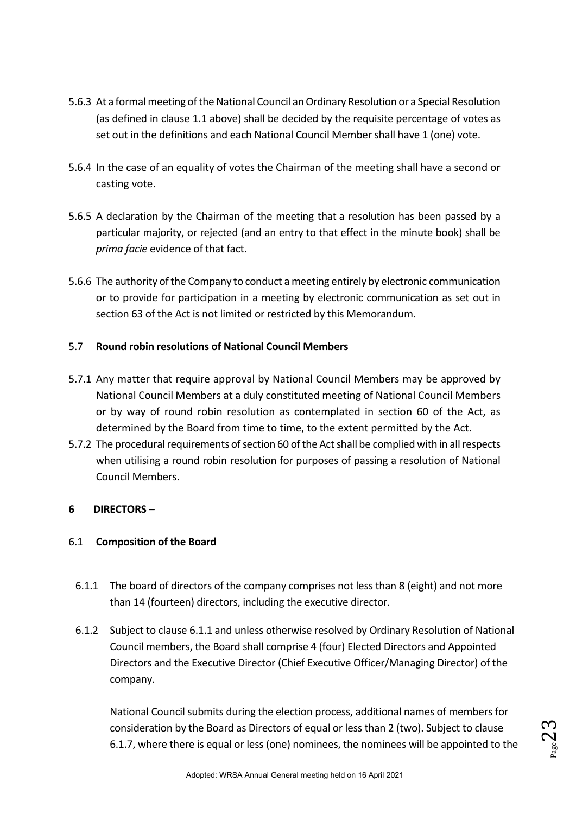- 5.6.3 At a formal meeting of the National Council an Ordinary Resolution or a Special Resolution (as defined in clause 1.1 above) shall be decided by the requisite percentage of votes as set out in the definitions and each National Council Member shall have 1 (one) vote.
- 5.6.4 In the case of an equality of votes the Chairman of the meeting shall have a second or casting vote.
- 5.6.5 A declaration by the Chairman of the meeting that a resolution has been passed by a particular majority, or rejected (and an entry to that effect in the minute book) shall be *prima facie* evidence of that fact.
- 5.6.6 The authority of the Company to conduct a meeting entirely by electronic communication or to provide for participation in a meeting by electronic communication as set out in section 63 of the Act is not limited or restricted by this Memorandum.

### 5.7 **Round robin resolutions of National Council Members**

- 5.7.1 Any matter that require approval by National Council Members may be approved by National Council Members at a duly constituted meeting of National Council Members or by way of round robin resolution as contemplated in section 60 of the Act, as determined by the Board from time to time, to the extent permitted by the Act.
- 5.7.2 The procedural requirements of section 60 of the Act shall be complied with in all respects when utilising a round robin resolution for purposes of passing a resolution of National Council Members.

### **6 DIRECTORS –**

### 6.1 **Composition of the Board**

- 6.1.1 The board of directors of the company comprises not less than 8 (eight) and not more than 14 (fourteen) directors, including the executive director.
- 6.1.2 Subject to clause 6.1.1 and unless otherwise resolved by Ordinary Resolution of National Council members, the Board shall comprise 4 (four) Elected Directors and Appointed Directors and the Executive Director (Chief Executive Officer/Managing Director) of the company.

National Council submits during the election process, additional names of members for consideration by the Board as Directors of equal or less than 2 (two). Subject to clause 6.1.7, where there is equal or less (one) nominees, the nominees will be appointed to the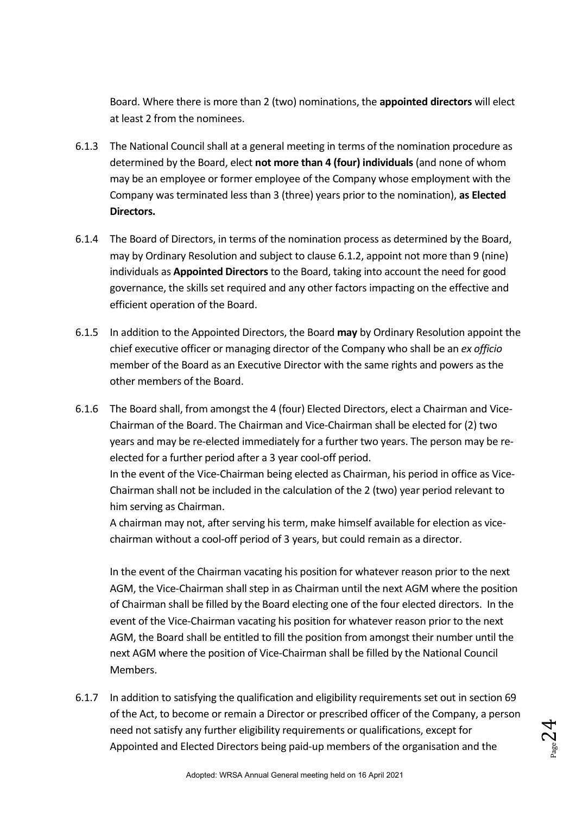Board. Where there is more than 2 (two) nominations, the **appointed directors** will elect at least 2 from the nominees.

- 6.1.3 The National Council shall at a general meeting in terms of the nomination procedure as determined by the Board, elect **not more than 4 (four) individuals** (and none of whom may be an employee or former employee of the Company whose employment with the Company was terminated less than 3 (three) years prior to the nomination), **as Elected Directors.**
- 6.1.4 The Board of Directors, in terms of the nomination process as determined by the Board, may by Ordinary Resolution and subject to clause 6.1.2, appoint not more than 9 (nine) individuals as **Appointed Directors** to the Board, taking into account the need for good governance, the skills set required and any other factors impacting on the effective and efficient operation of the Board.
- 6.1.5 In addition to the Appointed Directors, the Board **may** by Ordinary Resolution appoint the chief executive officer or managing director of the Company who shall be an *ex officio*  member of the Board as an Executive Director with the same rights and powers as the other members of the Board.
- 6.1.6 The Board shall, from amongst the 4 (four) Elected Directors, elect a Chairman and Vice-Chairman of the Board. The Chairman and Vice-Chairman shall be elected for (2) two years and may be re-elected immediately for a further two years. The person may be reelected for a further period after a 3 year cool-off period. In the event of the Vice-Chairman being elected as Chairman, his period in office as Vice-Chairman shall not be included in the calculation of the 2 (two) year period relevant to him serving as Chairman.

A chairman may not, after serving his term, make himself available for election as vicechairman without a cool-off period of 3 years, but could remain as a director.

In the event of the Chairman vacating his position for whatever reason prior to the next AGM, the Vice-Chairman shall step in as Chairman until the next AGM where the position of Chairman shall be filled by the Board electing one of the four elected directors. In the event of the Vice-Chairman vacating his position for whatever reason prior to the next AGM, the Board shall be entitled to fill the position from amongst their number until the next AGM where the position of Vice-Chairman shall be filled by the National Council Members.

6.1.7 In addition to satisfying the qualification and eligibility requirements set out in section 69 of the Act, to become or remain a Director or prescribed officer of the Company, a person need not satisfy any further eligibility requirements or qualifications, except for Appointed and Elected Directors being paid-up members of the organisation and the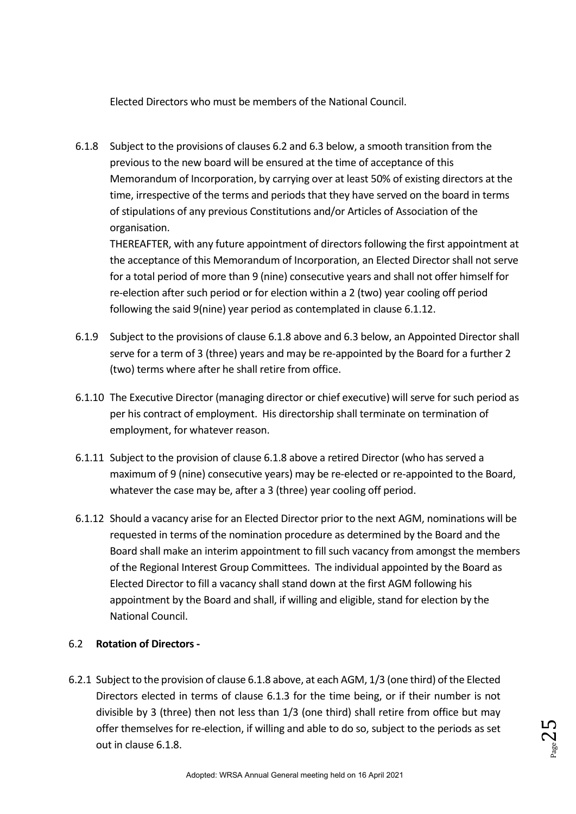Elected Directors who must be members of the National Council.

6.1.8 Subject to the provisions of clauses 6.2 and 6.3 below, a smooth transition from the previous to the new board will be ensured at the time of acceptance of this Memorandum of Incorporation, by carrying over at least 50% of existing directors at the time, irrespective of the terms and periods that they have served on the board in terms of stipulations of any previous Constitutions and/or Articles of Association of the organisation.

THEREAFTER, with any future appointment of directors following the first appointment at the acceptance of this Memorandum of Incorporation, an Elected Director shall not serve for a total period of more than 9 (nine) consecutive years and shall not offer himself for re-election after such period or for election within a 2 (two) year cooling off period following the said 9(nine) year period as contemplated in clause 6.1.12.

- 6.1.9 Subject to the provisions of clause 6.1.8 above and 6.3 below, an Appointed Director shall serve for a term of 3 (three) years and may be re-appointed by the Board for a further 2 (two) terms where after he shall retire from office.
- 6.1.10 The Executive Director (managing director or chief executive) will serve for such period as per his contract of employment. His directorship shall terminate on termination of employment, for whatever reason.
- 6.1.11 Subject to the provision of clause 6.1.8 above a retired Director (who has served a maximum of 9 (nine) consecutive years) may be re-elected or re-appointed to the Board, whatever the case may be, after a 3 (three) year cooling off period.
- 6.1.12 Should a vacancy arise for an Elected Director prior to the next AGM, nominations will be requested in terms of the nomination procedure as determined by the Board and the Board shall make an interim appointment to fill such vacancy from amongst the members of the Regional Interest Group Committees. The individual appointed by the Board as Elected Director to fill a vacancy shall stand down at the first AGM following his appointment by the Board and shall, if willing and eligible, stand for election by the National Council.

### 6.2 **Rotation of Directors -**

6.2.1 Subject to the provision of clause 6.1.8 above, at each AGM, 1/3 (one third) of the Elected Directors elected in terms of clause 6.1.3 for the time being, or if their number is not divisible by 3 (three) then not less than 1/3 (one third) shall retire from office but may offer themselves for re-election, if willing and able to do so, subject to the periods as set out in clause 6.1.8.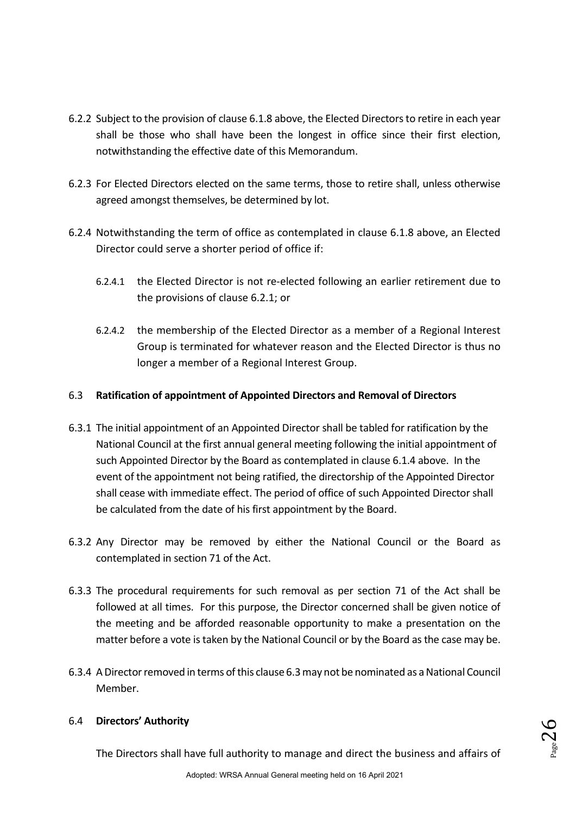- 6.2.2 Subject to the provision of clause 6.1.8 above, the Elected Directors to retire in each year shall be those who shall have been the longest in office since their first election, notwithstanding the effective date of this Memorandum.
- 6.2.3 For Elected Directors elected on the same terms, those to retire shall, unless otherwise agreed amongst themselves, be determined by lot.
- 6.2.4 Notwithstanding the term of office as contemplated in clause 6.1.8 above, an Elected Director could serve a shorter period of office if:
	- 6.2.4.1 the Elected Director is not re-elected following an earlier retirement due to the provisions of clause 6.2.1; or
	- 6.2.4.2 the membership of the Elected Director as a member of a Regional Interest Group is terminated for whatever reason and the Elected Director is thus no longer a member of a Regional Interest Group.

### 6.3 **Ratification of appointment of Appointed Directors and Removal of Directors**

- 6.3.1 The initial appointment of an Appointed Director shall be tabled for ratification by the National Council at the first annual general meeting following the initial appointment of such Appointed Director by the Board as contemplated in clause 6.1.4 above. In the event of the appointment not being ratified, the directorship of the Appointed Director shall cease with immediate effect. The period of office of such Appointed Director shall be calculated from the date of his first appointment by the Board.
- 6.3.2 Any Director may be removed by either the National Council or the Board as contemplated in section 71 of the Act.
- 6.3.3 The procedural requirements for such removal as per section 71 of the Act shall be followed at all times. For this purpose, the Director concerned shall be given notice of the meeting and be afforded reasonable opportunity to make a presentation on the matter before a vote is taken by the National Council or by the Board as the case may be.
- 6.3.4 A Director removed in terms of this clause 6.3 may not be nominated as a National Council Member.

### 6.4 **Directors' Authority**

The Directors shall have full authority to manage and direct the business and affairs of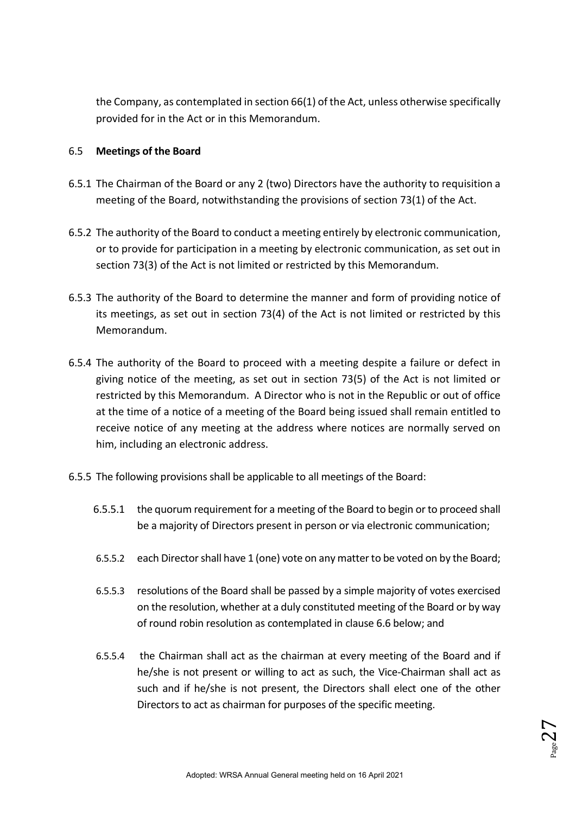the Company, as contemplated in section 66(1) of the Act, unless otherwise specifically provided for in the Act or in this Memorandum.

### 6.5 **Meetings of the Board**

- 6.5.1 The Chairman of the Board or any 2 (two) Directors have the authority to requisition a meeting of the Board, notwithstanding the provisions of section 73(1) of the Act.
- 6.5.2 The authority of the Board to conduct a meeting entirely by electronic communication, or to provide for participation in a meeting by electronic communication, as set out in section 73(3) of the Act is not limited or restricted by this Memorandum.
- 6.5.3 The authority of the Board to determine the manner and form of providing notice of its meetings, as set out in section 73(4) of the Act is not limited or restricted by this Memorandum.
- 6.5.4 The authority of the Board to proceed with a meeting despite a failure or defect in giving notice of the meeting, as set out in section 73(5) of the Act is not limited or restricted by this Memorandum. A Director who is not in the Republic or out of office at the time of a notice of a meeting of the Board being issued shall remain entitled to receive notice of any meeting at the address where notices are normally served on him, including an electronic address.
- 6.5.5 The following provisions shall be applicable to all meetings of the Board:
	- 6.5.5.1 the quorum requirement for a meeting of the Board to begin or to proceed shall be a majority of Directors present in person or via electronic communication;
	- 6.5.5.2 each Director shall have 1 (one) vote on any matter to be voted on by the Board;
	- 6.5.5.3 resolutions of the Board shall be passed by a simple majority of votes exercised on the resolution, whether at a duly constituted meeting of the Board or by way of round robin resolution as contemplated in clause 6.6 below; and
	- 6.5.5.4 the Chairman shall act as the chairman at every meeting of the Board and if he/she is not present or willing to act as such, the Vice-Chairman shall act as such and if he/she is not present, the Directors shall elect one of the other Directors to act as chairman for purposes of the specific meeting.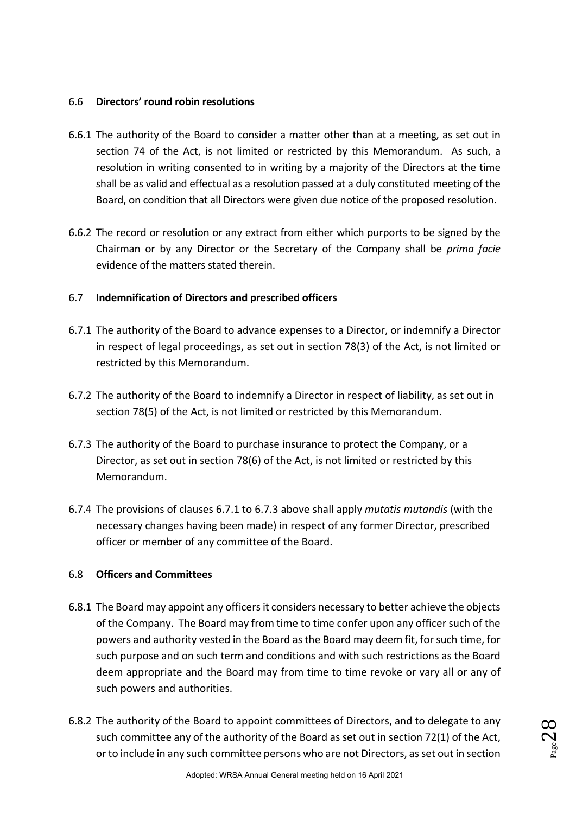### 6.6 **Directors' round robin resolutions**

- 6.6.1 The authority of the Board to consider a matter other than at a meeting, as set out in section 74 of the Act, is not limited or restricted by this Memorandum. As such, a resolution in writing consented to in writing by a majority of the Directors at the time shall be as valid and effectual as a resolution passed at a duly constituted meeting of the Board, on condition that all Directors were given due notice of the proposed resolution.
- 6.6.2 The record or resolution or any extract from either which purports to be signed by the Chairman or by any Director or the Secretary of the Company shall be *prima facie* evidence of the matters stated therein.

### 6.7 **Indemnification of Directors and prescribed officers**

- 6.7.1 The authority of the Board to advance expenses to a Director, or indemnify a Director in respect of legal proceedings, as set out in section 78(3) of the Act, is not limited or restricted by this Memorandum.
- 6.7.2 The authority of the Board to indemnify a Director in respect of liability, as set out in section 78(5) of the Act, is not limited or restricted by this Memorandum.
- 6.7.3 The authority of the Board to purchase insurance to protect the Company, or a Director, as set out in section 78(6) of the Act, is not limited or restricted by this Memorandum.
- 6.7.4 The provisions of clauses 6.7.1 to 6.7.3 above shall apply *mutatis mutandis* (with the necessary changes having been made) in respect of any former Director, prescribed officer or member of any committee of the Board.

### 6.8 **Officers and Committees**

- 6.8.1 The Board may appoint any officers it considers necessary to better achieve the objects of the Company. The Board may from time to time confer upon any officer such of the powers and authority vested in the Board as the Board may deem fit, for such time, for such purpose and on such term and conditions and with such restrictions as the Board deem appropriate and the Board may from time to time revoke or vary all or any of such powers and authorities.
- 6.8.2 The authority of the Board to appoint committees of Directors, and to delegate to any such committee any of the authority of the Board as set out in section 72(1) of the Act, or to include in any such committee persons who are not Directors, as set out in section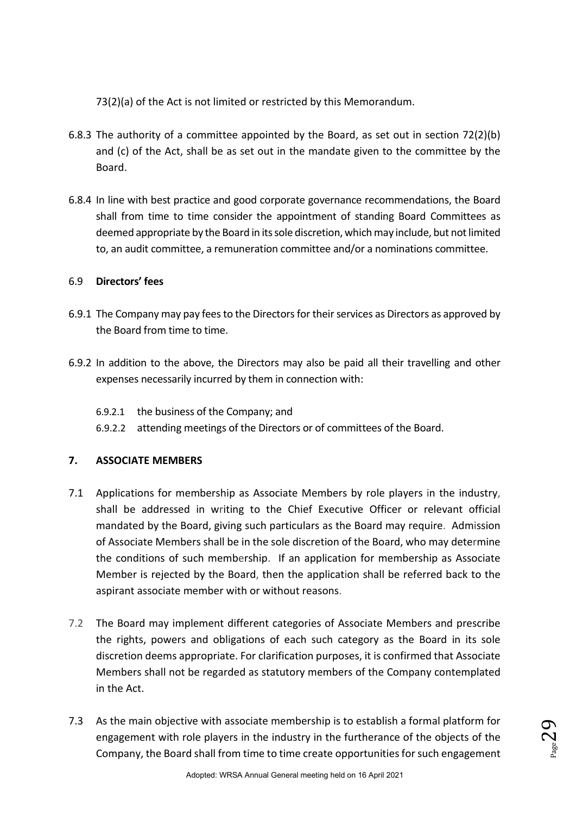73(2)(a) of the Act is not limited or restricted by this Memorandum.

- 6.8.3 The authority of a committee appointed by the Board, as set out in section 72(2)(b) and (c) of the Act, shall be as set out in the mandate given to the committee by the Board.
- 6.8.4 In line with best practice and good corporate governance recommendations, the Board shall from time to time consider the appointment of standing Board Committees as deemed appropriate by the Board in its sole discretion, which may include, but not limited to, an audit committee, a remuneration committee and/or a nominations committee.

### 6.9 **Directors' fees**

- 6.9.1 The Company may pay fees to the Directors for their services as Directors as approved by the Board from time to time.
- 6.9.2 In addition to the above, the Directors may also be paid all their travelling and other expenses necessarily incurred by them in connection with:
	- 6.9.2.1 the business of the Company; and
	- 6.9.2.2 attending meetings of the Directors or of committees of the Board.

### **7. ASSOCIATE MEMBERS**

- 7.1 Applications for membership as Associate Members by role players in the industry, shall be addressed in writing to the Chief Executive Officer or relevant official mandated by the Board, giving such particulars as the Board may require. Admission of Associate Members shall be in the sole discretion of the Board, who may determine the conditions of such membership. If an application for membership as Associate Member is rejected by the Board, then the application shall be referred back to the aspirant associate member with or without reasons.
- 7.2 The Board may implement different categories of Associate Members and prescribe the rights, powers and obligations of each such category as the Board in its sole discretion deems appropriate. For clarification purposes, it is confirmed that Associate Members shall not be regarded as statutory members of the Company contemplated in the Act.
- 7.3 As the main objective with associate membership is to establish a formal platform for engagement with role players in the industry in the furtherance of the objects of the Company, the Board shall from time to time create opportunities for such engagement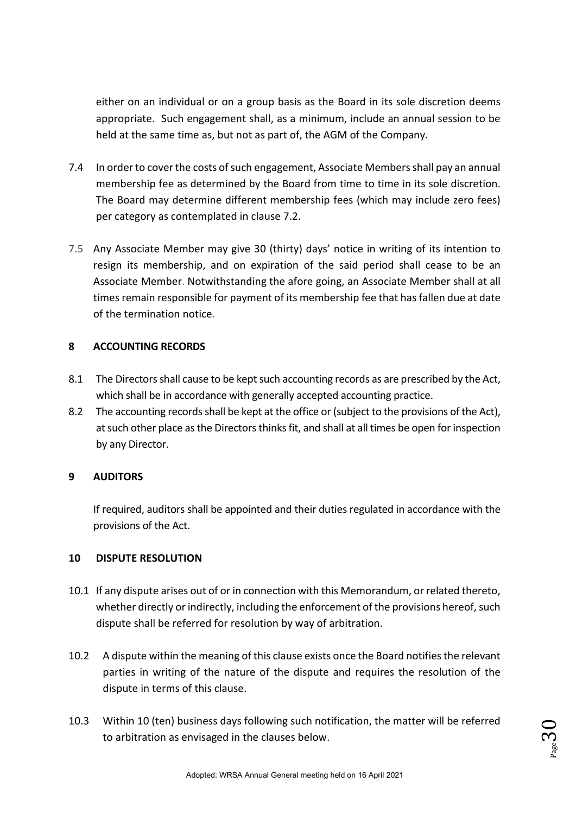either on an individual or on a group basis as the Board in its sole discretion deems appropriate. Such engagement shall, as a minimum, include an annual session to be held at the same time as, but not as part of, the AGM of the Company.

- 7.4 In order to cover the costs of such engagement, Associate Members shall pay an annual membership fee as determined by the Board from time to time in its sole discretion. The Board may determine different membership fees (which may include zero fees) per category as contemplated in clause 7.2.
- 7.5 Any Associate Member may give 30 (thirty) days' notice in writing of its intention to resign its membership, and on expiration of the said period shall cease to be an Associate Member. Notwithstanding the afore going, an Associate Member shall at all times remain responsible for payment of its membership fee that has fallen due at date of the termination notice.

### **8 ACCOUNTING RECORDS**

- 8.1 The Directors shall cause to be kept such accounting records as are prescribed by the Act, which shall be in accordance with generally accepted accounting practice.
- 8.2 The accounting records shall be kept at the office or (subject to the provisions of the Act), at such other place as the Directors thinks fit, and shall at all times be open for inspection by any Director.

### **9 AUDITORS**

If required, auditors shall be appointed and their duties regulated in accordance with the provisions of the Act.

### **10 DISPUTE RESOLUTION**

- 10.1 If any dispute arises out of or in connection with this Memorandum, or related thereto, whether directly or indirectly, including the enforcement of the provisions hereof, such dispute shall be referred for resolution by way of arbitration.
- 10.2 A dispute within the meaning of this clause exists once the Board notifies the relevant parties in writing of the nature of the dispute and requires the resolution of the dispute in terms of this clause.
- 10.3 Within 10 (ten) business days following such notification, the matter will be referred to arbitration as envisaged in the clauses below.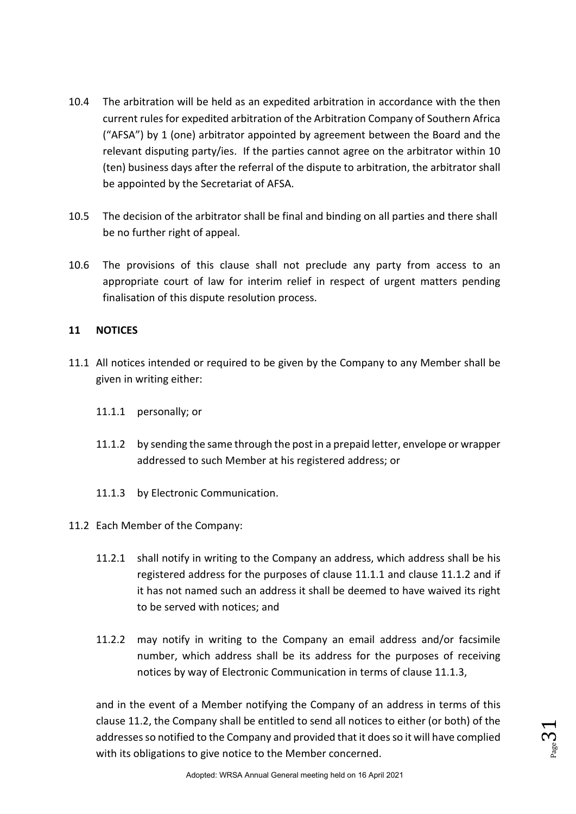- 10.4 The arbitration will be held as an expedited arbitration in accordance with the then current rules for expedited arbitration of the Arbitration Company of Southern Africa ("AFSA") by 1 (one) arbitrator appointed by agreement between the Board and the relevant disputing party/ies. If the parties cannot agree on the arbitrator within 10 (ten) business days after the referral of the dispute to arbitration, the arbitrator shall be appointed by the Secretariat of AFSA.
- 10.5 The decision of the arbitrator shall be final and binding on all parties and there shall be no further right of appeal.
- 10.6 The provisions of this clause shall not preclude any party from access to an appropriate court of law for interim relief in respect of urgent matters pending finalisation of this dispute resolution process.

### **11 NOTICES**

- 11.1 All notices intended or required to be given by the Company to any Member shall be given in writing either:
	- 11.1.1 personally; or
	- 11.1.2 by sending the same through the post in a prepaid letter, envelope or wrapper addressed to such Member at his registered address; or
	- 11.1.3 by Electronic Communication.
- 11.2 Each Member of the Company:
	- 11.2.1 shall notify in writing to the Company an address, which address shall be his registered address for the purposes of clause 11.1.1 and clause 11.1.2 and if it has not named such an address it shall be deemed to have waived its right to be served with notices; and
	- 11.2.2 may notify in writing to the Company an email address and/or facsimile number, which address shall be its address for the purposes of receiving notices by way of Electronic Communication in terms of clause 11.1.3,

and in the event of a Member notifying the Company of an address in terms of this clause 11.2, the Company shall be entitled to send all notices to either (or both) of the addresses so notified to the Company and provided that it does so it will have complied with its obligations to give notice to the Member concerned.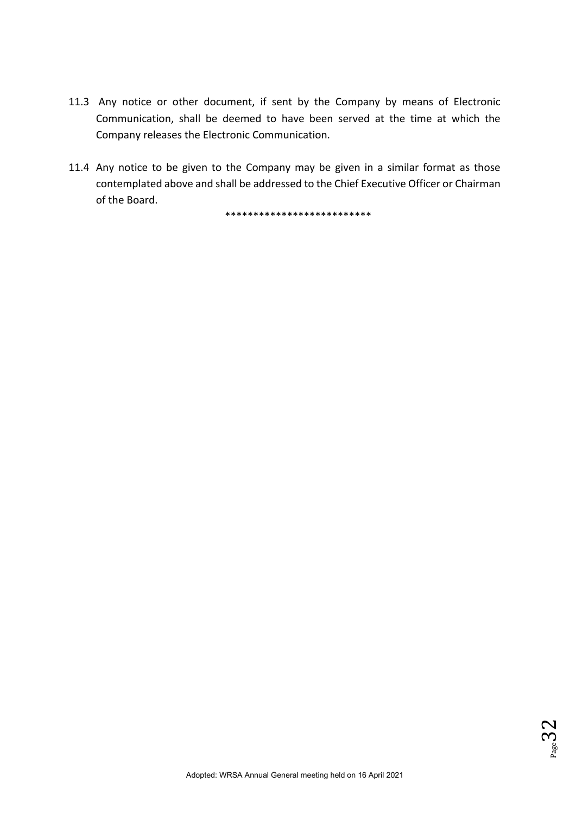- 11.3 Any notice or other document, if sent by the Company by means of Electronic Communication, shall be deemed to have been served at the time at which the Company releases the Electronic Communication.
- 11.4 Any notice to be given to the Company may be given in a similar format as those contemplated above and shall be addressed to the Chief Executive Officer or Chairman of the Board.

\*\*\*\*\*\*\*\*\*\*\*\*\*\*\*\*\*\*\*\*\*\*\*\*\*\*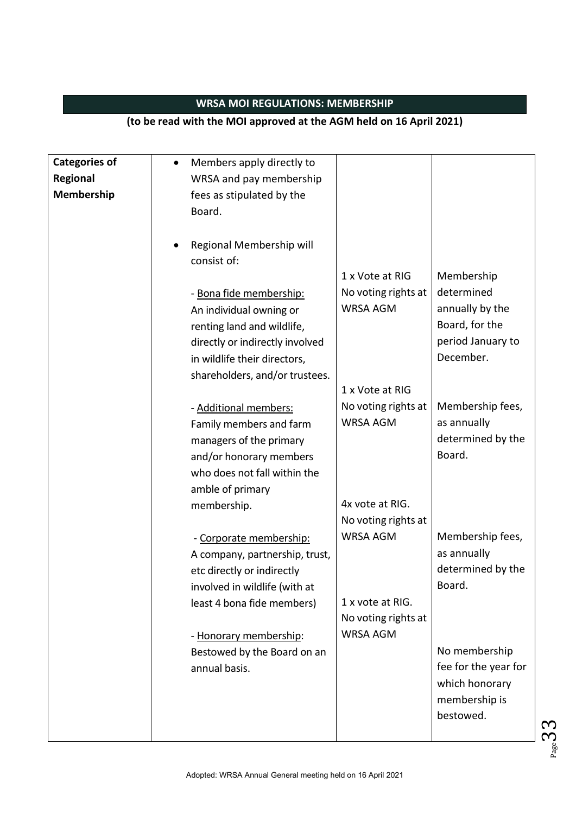# **WRSA MOI REGULATIONS: MEMBERSHIP**

### **(to be read with the MOI approved at the AGM held on 16 April 2021)**

| <b>Categories of</b> | Members apply directly to<br>$\bullet$ |                                        |                      |
|----------------------|----------------------------------------|----------------------------------------|----------------------|
| Regional             | WRSA and pay membership                |                                        |                      |
| Membership           | fees as stipulated by the              |                                        |                      |
|                      | Board.                                 |                                        |                      |
|                      |                                        |                                        |                      |
|                      | Regional Membership will               |                                        |                      |
|                      | consist of:                            |                                        |                      |
|                      |                                        | 1 x Vote at RIG                        | Membership           |
|                      | - Bona fide membership:                | No voting rights at                    | determined           |
|                      | An individual owning or                | <b>WRSA AGM</b>                        | annually by the      |
|                      | renting land and wildlife,             |                                        | Board, for the       |
|                      | directly or indirectly involved        |                                        | period January to    |
|                      | in wildlife their directors,           |                                        | December.            |
|                      | shareholders, and/or trustees.         |                                        |                      |
|                      |                                        | 1 x Vote at RIG                        |                      |
|                      | - Additional members:                  | No voting rights at                    | Membership fees,     |
|                      | Family members and farm                | <b>WRSA AGM</b>                        | as annually          |
|                      | managers of the primary                |                                        | determined by the    |
|                      | and/or honorary members                |                                        | Board.               |
|                      | who does not fall within the           |                                        |                      |
|                      |                                        |                                        |                      |
|                      | amble of primary                       | 4x vote at RIG.                        |                      |
|                      | membership.                            |                                        |                      |
|                      |                                        | No voting rights at<br><b>WRSA AGM</b> |                      |
|                      | - Corporate membership:                |                                        | Membership fees,     |
|                      | A company, partnership, trust,         |                                        | as annually          |
|                      | etc directly or indirectly             |                                        | determined by the    |
|                      | involved in wildlife (with at          |                                        | Board.               |
|                      | least 4 bona fide members)             | 1 x vote at RIG.                       |                      |
|                      |                                        | No voting rights at                    |                      |
|                      | - Honorary membership:                 | <b>WRSA AGM</b>                        |                      |
|                      | Bestowed by the Board on an            |                                        | No membership        |
|                      | annual basis.                          |                                        | fee for the year for |
|                      |                                        |                                        | which honorary       |
|                      |                                        |                                        | membership is        |
|                      |                                        |                                        | bestowed.            |
|                      |                                        |                                        |                      |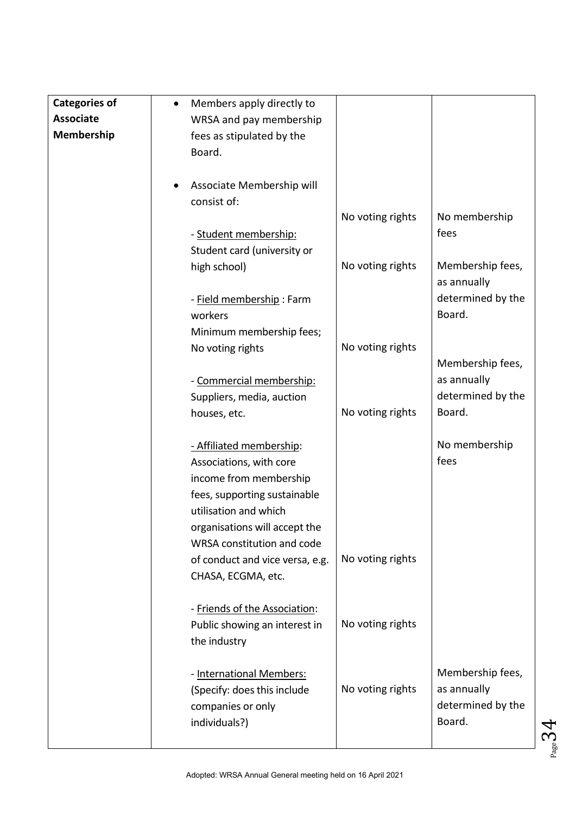| <b>Categories of</b> | Members apply directly to<br>$\bullet$              |                   |
|----------------------|-----------------------------------------------------|-------------------|
| <b>Associate</b>     | WRSA and pay membership                             |                   |
| Membership           | fees as stipulated by the                           |                   |
|                      | Board.                                              |                   |
|                      |                                                     |                   |
|                      | Associate Membership will                           |                   |
|                      | consist of:                                         |                   |
|                      | No voting rights                                    | No membership     |
|                      | - Student membership:                               | fees              |
|                      | Student card (university or                         |                   |
|                      | No voting rights<br>high school)                    | Membership fees,  |
|                      |                                                     | as annually       |
|                      | - Field membership: Farm                            | determined by the |
|                      | workers                                             | Board.            |
|                      | Minimum membership fees;                            |                   |
|                      | No voting rights<br>No voting rights                |                   |
|                      |                                                     | Membership fees,  |
|                      | - Commercial membership:                            | as annually       |
|                      | Suppliers, media, auction                           | determined by the |
|                      | No voting rights<br>houses, etc.                    | Board.            |
|                      |                                                     |                   |
|                      | - Affiliated membership:                            | No membership     |
|                      | Associations, with core                             | fees              |
|                      | income from membership                              |                   |
|                      | fees, supporting sustainable                        |                   |
|                      | utilisation and which                               |                   |
|                      | organisations will accept the                       |                   |
|                      | WRSA constitution and code                          |                   |
|                      | No voting rights<br>of conduct and vice versa, e.g. |                   |
|                      | CHASA, ECGMA, etc.                                  |                   |
|                      |                                                     |                   |
|                      | - Friends of the Association:                       |                   |
|                      | No voting rights<br>Public showing an interest in   |                   |
|                      | the industry                                        |                   |
|                      |                                                     |                   |
|                      | - International Members:                            | Membership fees,  |
|                      | No voting rights<br>(Specify: does this include     | as annually       |
|                      | companies or only                                   | determined by the |
|                      | individuals?)                                       | Board.            |
|                      |                                                     |                   |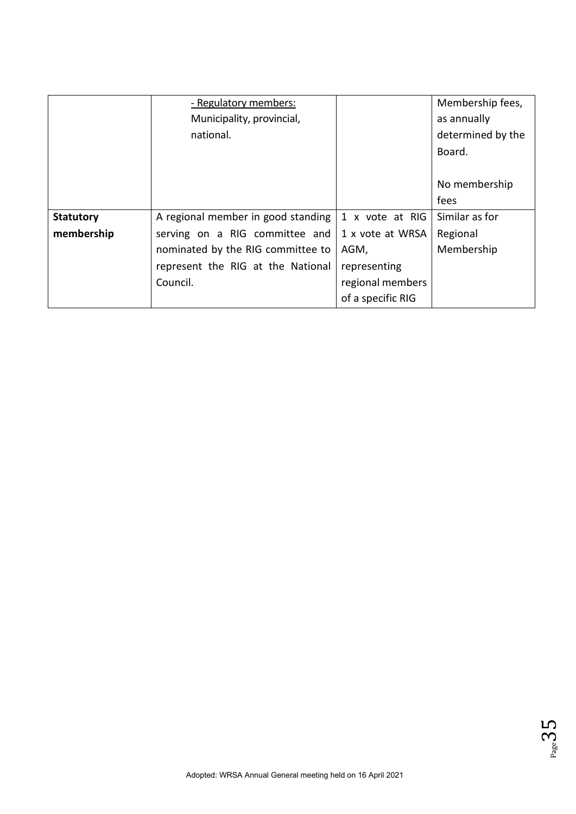|                  | - Regulatory members:              |                   | Membership fees,  |
|------------------|------------------------------------|-------------------|-------------------|
|                  | Municipality, provincial,          |                   | as annually       |
|                  | national.                          |                   | determined by the |
|                  |                                    |                   | Board.            |
|                  |                                    |                   |                   |
|                  |                                    |                   | No membership     |
|                  |                                    |                   | fees              |
| <b>Statutory</b> | A regional member in good standing | 1 x vote at RIG   | Similar as for    |
| membership       | serving on a RIG committee and     | 1 x vote at WRSA  | Regional          |
|                  | nominated by the RIG committee to  | AGM,              | Membership        |
|                  | represent the RIG at the National  | representing      |                   |
|                  | Council.                           | regional members  |                   |
|                  |                                    | of a specific RIG |                   |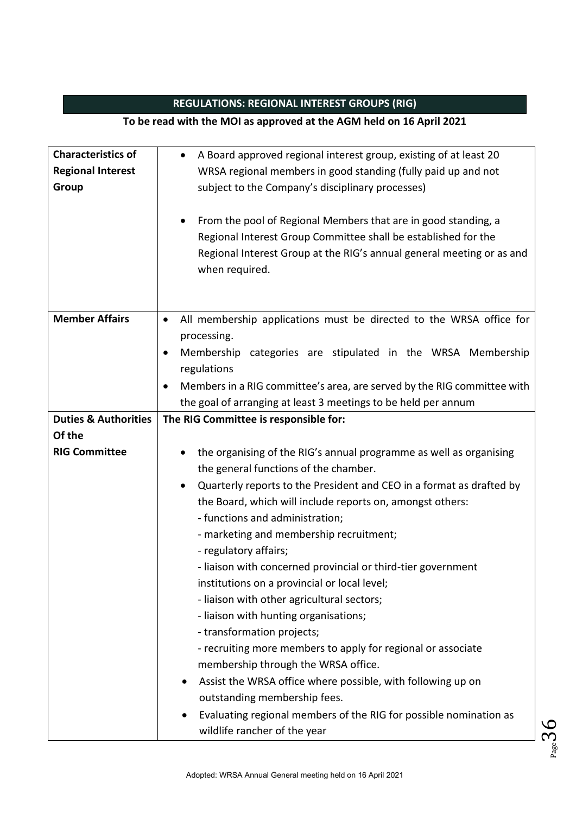# **REGULATIONS: REGIONAL INTEREST GROUPS (RIG)**

### **To be read with the MOI as approved at the AGM held on 16 April 2021**

| <b>Characteristics of</b>       | A Board approved regional interest group, existing of at least 20<br>$\bullet$       |  |
|---------------------------------|--------------------------------------------------------------------------------------|--|
| <b>Regional Interest</b>        | WRSA regional members in good standing (fully paid up and not                        |  |
| Group                           | subject to the Company's disciplinary processes)                                     |  |
|                                 |                                                                                      |  |
|                                 | From the pool of Regional Members that are in good standing, a                       |  |
|                                 | Regional Interest Group Committee shall be established for the                       |  |
|                                 | Regional Interest Group at the RIG's annual general meeting or as and                |  |
|                                 | when required.                                                                       |  |
|                                 |                                                                                      |  |
|                                 |                                                                                      |  |
| <b>Member Affairs</b>           | All membership applications must be directed to the WRSA office for<br>$\bullet$     |  |
|                                 | processing.                                                                          |  |
|                                 | Membership categories are stipulated in the WRSA Membership<br>$\bullet$             |  |
|                                 | regulations                                                                          |  |
|                                 | Members in a RIG committee's area, are served by the RIG committee with<br>$\bullet$ |  |
|                                 | the goal of arranging at least 3 meetings to be held per annum                       |  |
| <b>Duties &amp; Authorities</b> | The RIG Committee is responsible for:                                                |  |
| Of the                          |                                                                                      |  |
| <b>RIG Committee</b>            | the organising of the RIG's annual programme as well as organising                   |  |
|                                 | the general functions of the chamber.                                                |  |
|                                 | Quarterly reports to the President and CEO in a format as drafted by<br>$\bullet$    |  |
|                                 | the Board, which will include reports on, amongst others:                            |  |
|                                 | - functions and administration;                                                      |  |
|                                 |                                                                                      |  |
|                                 | - marketing and membership recruitment;                                              |  |
|                                 | - regulatory affairs;                                                                |  |
|                                 | - liaison with concerned provincial or third-tier government                         |  |
|                                 | institutions on a provincial or local level;                                         |  |
|                                 | - liaison with other agricultural sectors;                                           |  |
|                                 | - liaison with hunting organisations;                                                |  |
|                                 | - transformation projects;                                                           |  |
|                                 | - recruiting more members to apply for regional or associate                         |  |
|                                 | membership through the WRSA office.                                                  |  |
|                                 | Assist the WRSA office where possible, with following up on                          |  |
|                                 | outstanding membership fees.                                                         |  |
|                                 | Evaluating regional members of the RIG for possible nomination as                    |  |
|                                 | wildlife rancher of the year                                                         |  |

 $36<sub>peB</sub>$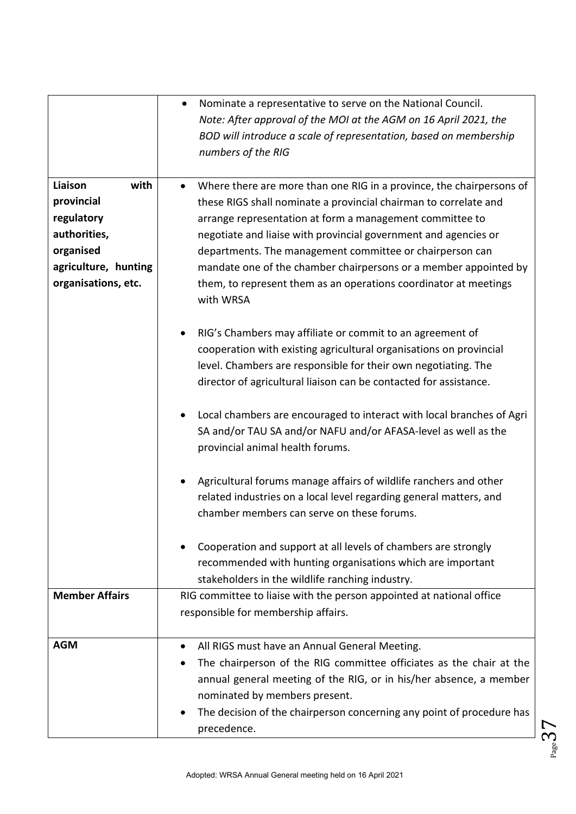|                       | Nominate a representative to serve on the National Council.<br>$\bullet$<br>Note: After approval of the MOI at the AGM on 16 April 2021, the                                          |
|-----------------------|---------------------------------------------------------------------------------------------------------------------------------------------------------------------------------------|
|                       | BOD will introduce a scale of representation, based on membership<br>numbers of the RIG                                                                                               |
| Liaison<br>with       | Where there are more than one RIG in a province, the chairpersons of<br>$\bullet$                                                                                                     |
| provincial            | these RIGS shall nominate a provincial chairman to correlate and                                                                                                                      |
| regulatory            | arrange representation at form a management committee to                                                                                                                              |
| authorities,          | negotiate and liaise with provincial government and agencies or                                                                                                                       |
| organised             | departments. The management committee or chairperson can                                                                                                                              |
| agriculture, hunting  | mandate one of the chamber chairpersons or a member appointed by                                                                                                                      |
| organisations, etc.   | them, to represent them as an operations coordinator at meetings<br>with WRSA                                                                                                         |
|                       | RIG's Chambers may affiliate or commit to an agreement of                                                                                                                             |
|                       | cooperation with existing agricultural organisations on provincial                                                                                                                    |
|                       | level. Chambers are responsible for their own negotiating. The                                                                                                                        |
|                       | director of agricultural liaison can be contacted for assistance.                                                                                                                     |
|                       | Local chambers are encouraged to interact with local branches of Agri<br>SA and/or TAU SA and/or NAFU and/or AFASA-level as well as the<br>provincial animal health forums.           |
|                       | Agricultural forums manage affairs of wildlife ranchers and other<br>related industries on a local level regarding general matters, and<br>chamber members can serve on these forums. |
|                       | Cooperation and support at all levels of chambers are strongly<br>recommended with hunting organisations which are important<br>stakeholders in the wildlife ranching industry.       |
| <b>Member Affairs</b> | RIG committee to liaise with the person appointed at national office                                                                                                                  |
|                       | responsible for membership affairs.                                                                                                                                                   |
| <b>AGM</b>            | All RIGS must have an Annual General Meeting.                                                                                                                                         |
|                       | The chairperson of the RIG committee officiates as the chair at the                                                                                                                   |
|                       | annual general meeting of the RIG, or in his/her absence, a member                                                                                                                    |
|                       | nominated by members present.                                                                                                                                                         |
|                       | The decision of the chairperson concerning any point of procedure has<br>٠<br>precedence.                                                                                             |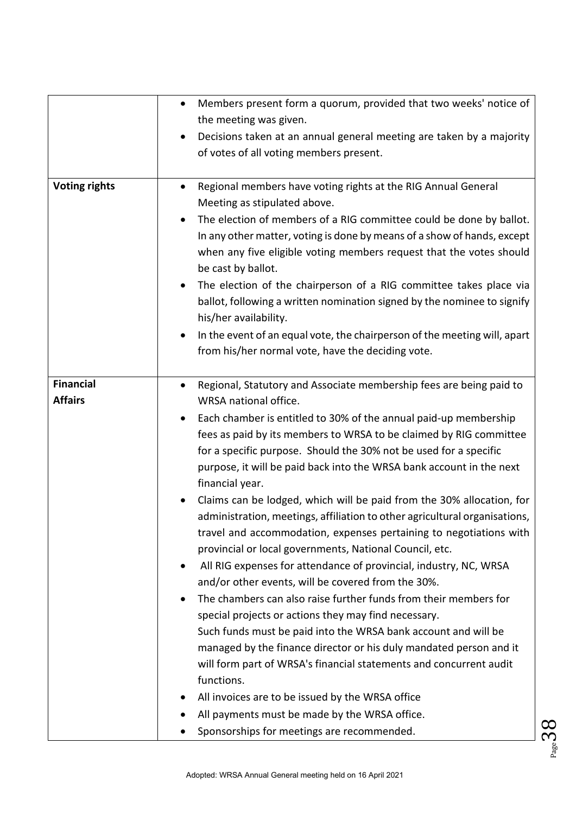|                                    | Members present form a quorum, provided that two weeks' notice of<br>$\bullet$                                                                                                                                                                                                                                                                                                                                                                                                                                                                                                                                                                                                                                                                                                                                                                                                                                                                                                                                                                                                                                                                                                                                                                                                                                                                          |
|------------------------------------|---------------------------------------------------------------------------------------------------------------------------------------------------------------------------------------------------------------------------------------------------------------------------------------------------------------------------------------------------------------------------------------------------------------------------------------------------------------------------------------------------------------------------------------------------------------------------------------------------------------------------------------------------------------------------------------------------------------------------------------------------------------------------------------------------------------------------------------------------------------------------------------------------------------------------------------------------------------------------------------------------------------------------------------------------------------------------------------------------------------------------------------------------------------------------------------------------------------------------------------------------------------------------------------------------------------------------------------------------------|
|                                    | the meeting was given.                                                                                                                                                                                                                                                                                                                                                                                                                                                                                                                                                                                                                                                                                                                                                                                                                                                                                                                                                                                                                                                                                                                                                                                                                                                                                                                                  |
|                                    | Decisions taken at an annual general meeting are taken by a majority<br>٠<br>of votes of all voting members present.                                                                                                                                                                                                                                                                                                                                                                                                                                                                                                                                                                                                                                                                                                                                                                                                                                                                                                                                                                                                                                                                                                                                                                                                                                    |
| <b>Voting rights</b>               | Regional members have voting rights at the RIG Annual General<br>$\bullet$<br>Meeting as stipulated above.<br>The election of members of a RIG committee could be done by ballot.<br>$\bullet$<br>In any other matter, voting is done by means of a show of hands, except<br>when any five eligible voting members request that the votes should<br>be cast by ballot.<br>The election of the chairperson of a RIG committee takes place via<br>ballot, following a written nomination signed by the nominee to signify<br>his/her availability.<br>In the event of an equal vote, the chairperson of the meeting will, apart<br>$\bullet$<br>from his/her normal vote, have the deciding vote.                                                                                                                                                                                                                                                                                                                                                                                                                                                                                                                                                                                                                                                         |
| <b>Financial</b><br><b>Affairs</b> | Regional, Statutory and Associate membership fees are being paid to<br>$\bullet$<br>WRSA national office.<br>Each chamber is entitled to 30% of the annual paid-up membership<br>$\bullet$<br>fees as paid by its members to WRSA to be claimed by RIG committee<br>for a specific purpose. Should the 30% not be used for a specific<br>purpose, it will be paid back into the WRSA bank account in the next<br>financial year.<br>Claims can be lodged, which will be paid from the 30% allocation, for<br>$\bullet$<br>administration, meetings, affiliation to other agricultural organisations,<br>travel and accommodation, expenses pertaining to negotiations with<br>provincial or local governments, National Council, etc.<br>All RIG expenses for attendance of provincial, industry, NC, WRSA<br>$\bullet$<br>and/or other events, will be covered from the 30%.<br>The chambers can also raise further funds from their members for<br>$\bullet$<br>special projects or actions they may find necessary.<br>Such funds must be paid into the WRSA bank account and will be<br>managed by the finance director or his duly mandated person and it<br>will form part of WRSA's financial statements and concurrent audit<br>functions.<br>All invoices are to be issued by the WRSA office<br>All payments must be made by the WRSA office. |
|                                    | Sponsorships for meetings are recommended.                                                                                                                                                                                                                                                                                                                                                                                                                                                                                                                                                                                                                                                                                                                                                                                                                                                                                                                                                                                                                                                                                                                                                                                                                                                                                                              |